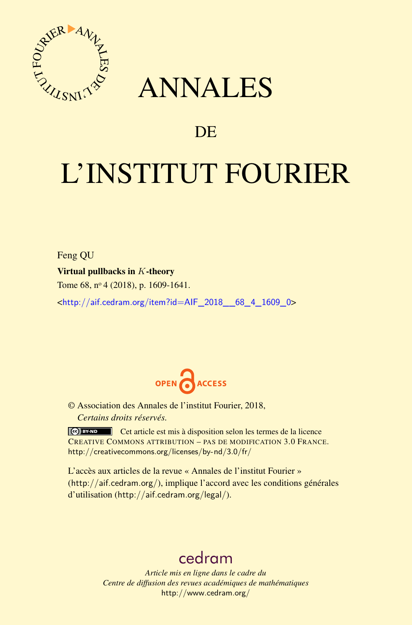

## ANNALES

### **DE**

# L'INSTITUT FOURIER

Feng QU Virtual pullbacks in *K*-theory Tome 68, nº 4 (2018), p. 1609-1641.

<[http://aif.cedram.org/item?id=AIF\\_2018\\_\\_68\\_4\\_1609\\_0](http://aif.cedram.org/item?id=AIF_2018__68_4_1609_0)>



© Association des Annales de l'institut Fourier, 2018, *Certains droits réservés.*

Cet article est mis à disposition selon les termes de la licence CREATIVE COMMONS ATTRIBUTION – PAS DE MODIFICATION 3.0 FRANCE. <http://creativecommons.org/licenses/by-nd/3.0/fr/>

L'accès aux articles de la revue « Annales de l'institut Fourier » (<http://aif.cedram.org/>), implique l'accord avec les conditions générales d'utilisation (<http://aif.cedram.org/legal/>).

## [cedram](http://www.cedram.org/)

*Article mis en ligne dans le cadre du Centre de diffusion des revues académiques de mathématiques* <http://www.cedram.org/>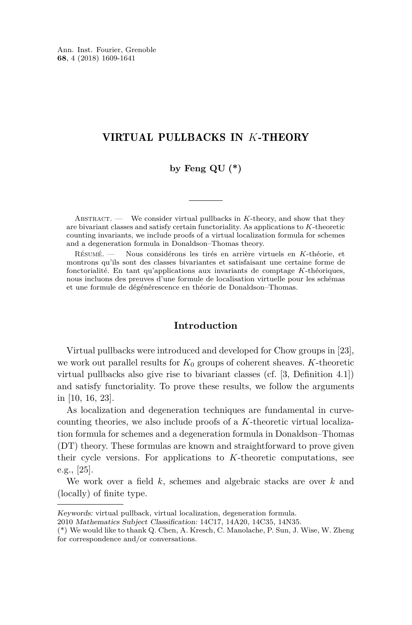Ann. Inst. Fourier, Grenoble **68**, 4 (2018) 1609-1641

#### VIRTUAL PULLBACKS IN *K*-THEORY

#### **by Feng QU (\*)**

ABSTRACT. — We consider virtual pullbacks in *K*-theory, and show that they are bivariant classes and satisfy certain functoriality. As applications to *K*-theoretic counting invariants, we include proofs of a virtual localization formula for schemes and a degeneration formula in Donaldson–Thomas theory.

Résumé. — Nous considérons les tirés en arrière virtuels en *K*-théorie, et montrons qu'ils sont des classes bivariantes et satisfaisant une certaine forme de fonctorialité. En tant qu'applications aux invariants de comptage *K*-théoriques, nous incluons des preuves d'une formule de localisation virtuelle pour les schémas et une formule de dégénérescence en théorie de Donaldson–Thomas.

#### **Introduction**

Virtual pullbacks were introduced and developed for Chow groups in [\[23\]](#page-33-0), we work out parallel results for  $K_0$  groups of coherent sheaves.  $K$ -theoretic virtual pullbacks also give rise to bivariant classes (cf. [\[3,](#page-32-0) Definition 4.1]) and satisfy functoriality. To prove these results, we follow the arguments in [\[10,](#page-32-1) [16,](#page-32-2) [23\]](#page-33-0).

As localization and degeneration techniques are fundamental in curvecounting theories, we also include proofs of a *K*-theoretic virtual localization formula for schemes and a degeneration formula in Donaldson–Thomas (DT) theory. These formulas are known and straightforward to prove given their cycle versions. For applications to *K*-theoretic computations, see e.g., [\[25\]](#page-33-1).

We work over a field *k*, schemes and algebraic stacks are over *k* and (locally) of finite type.

Keywords: virtual pullback, virtual localization, degeneration formula.

<sup>2010</sup> Mathematics Subject Classification: 14C17, 14A20, 14C35, 14N35.

<sup>(\*)</sup> We would like to thank Q. Chen, A. Kresch, C. Manolache, P. Sun, J. Wise, W. Zheng for correspondence and/or conversations.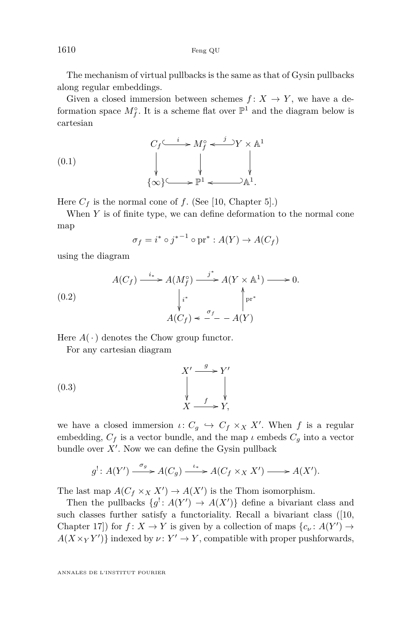1610 Feng QU

The mechanism of virtual pullbacks is the same as that of Gysin pullbacks along regular embeddings.

Given a closed immersion between schemes  $f: X \to Y$ , we have a deformation space  $M_f^{\circ}$ . It is a scheme flat over  $\mathbb{P}^1$  and the diagram below is cartesian

(0.1) 
$$
C_f \xrightarrow{i} M_f^\circ \xleftarrow{j} Y \times \mathbb{A}^1
$$

$$
\downarrow \qquad \qquad \downarrow \qquad \qquad \downarrow
$$

$$
\{\infty\} \xrightarrow{\mathbb{P}^1} \xleftarrow{\longrightarrow} \mathbb{A}^1.
$$

Here  $C_f$  is the normal cone of f. (See [\[10,](#page-32-1) Chapter 5].)

When *Y* is of finite type, we can define deformation to the normal cone map

<span id="page-2-0"></span>
$$
\sigma_f = i^* \circ j^{*-1} \circ \text{pr}^* : A(Y) \to A(C_f)
$$

using the diagram

<span id="page-2-1"></span>(0.2) 
$$
A(C_f) \xrightarrow{i_*} A(M_f^{\circ}) \xrightarrow{j^*} A(Y \times \mathbb{A}^1) \longrightarrow 0.
$$

$$
\downarrow i^* \qquad \qquad \downarrow r^* \qquad \qquad \downarrow r^* \qquad \qquad A(C_f) \prec \neg f - A(Y)
$$

Here  $A(\cdot)$  denotes the Chow group functor.

For any cartesian diagram

$$
\begin{array}{ccc}\n & & X' \xrightarrow{g} Y' \\
 & \downarrow & \\
 & \downarrow & \\
 & X \xrightarrow{f} Y, \\
 & \downarrow\n\end{array}
$$
\n(0.3)

we have a closed immersion  $\iota: C_g \hookrightarrow C_f \times_X X'$ . When *f* is a regular embedding,  $C_f$  is a vector bundle, and the map  $\iota$  embeds  $C_q$  into a vector bundle over  $X'$ . Now we can define the Gysin pullback

$$
g': A(Y') \xrightarrow{\sigma_g} A(C_g) \xrightarrow{\iota_*} A(C_f \times_X X') \longrightarrow A(X').
$$

The last map  $A(C_f \times_X X') \to A(X')$  is the Thom isomorphism.

Then the pullbacks  $\{g' : A(Y') \to A(X')\}$  define a bivariant class and such classes further satisfy a functoriality. Recall a bivariant class ([\[10,](#page-32-1) Chapter 17]) for  $f: X \to Y$  is given by a collection of maps  $\{c_{\nu}: A(Y') \to Z\}$  $A(X \times_Y Y')$ } indexed by  $\nu: Y' \to Y$ , compatible with proper pushforwards,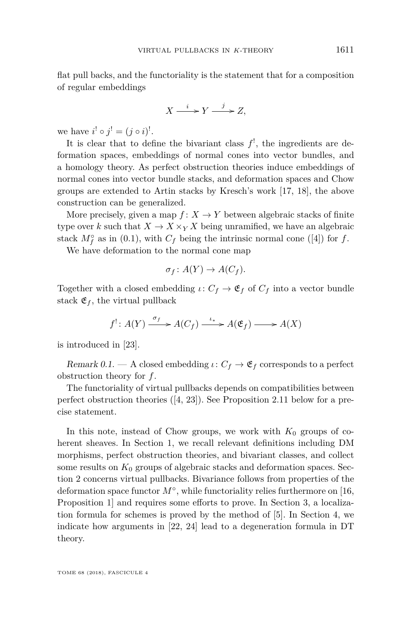flat pull backs, and the functoriality is the statement that for a composition of regular embeddings

$$
X \xrightarrow{i} Y \xrightarrow{j} Z,
$$

we have  $i^! \circ j^! = (j \circ i)^!$ .

It is clear that to define the bivariant class  $f^!$ , the ingredients are deformation spaces, embeddings of normal cones into vector bundles, and a homology theory. As perfect obstruction theories induce embeddings of normal cones into vector bundle stacks, and deformation spaces and Chow groups are extended to Artin stacks by Kresch's work [\[17,](#page-33-2) [18\]](#page-33-3), the above construction can be generalized.

More precisely, given a map  $f: X \to Y$  between algebraic stacks of finite type over *k* such that  $X \to X \times_Y X$  being unramified, we have an algebraic stack  $M_f^{\circ}$  as in [\(0.1\)](#page-2-0), with  $C_f$  being the intrinsic normal cone ([\[4\]](#page-32-3)) for  $f$ .

We have deformation to the normal cone map

$$
\sigma_f \colon A(Y) \to A(C_f).
$$

Together with a closed embedding  $\iota: C_f \to \mathfrak{E}_f$  of  $C_f$  into a vector bundle stack  $\mathfrak{E}_f$ , the virtual pullback

$$
f' : A(Y) \xrightarrow{\sigma_f} A(C_f) \xrightarrow{\iota_*} A(\mathfrak{E}_f) \longrightarrow A(X)
$$

is introduced in [\[23\]](#page-33-0).

Remark 0.1. — A closed embedding  $\iota: C_f \to \mathfrak{E}_f$  corresponds to a perfect obstruction theory for *f*.

The functoriality of virtual pullbacks depends on compatibilities between perfect obstruction theories ([\[4,](#page-32-3) [23\]](#page-33-0)). See Proposition [2.11](#page-16-0) below for a precise statement.

In this note, instead of Chow groups, we work with  $K_0$  groups of coherent sheaves. In Section [1,](#page-4-0) we recall relevant definitions including DM morphisms, perfect obstruction theories, and bivariant classes, and collect some results on  $K_0$  groups of algebraic stacks and deformation spaces. Section [2](#page-10-0) concerns virtual pullbacks. Bivariance follows from properties of the deformation space functor *M*◦ , while functoriality relies furthermore on [\[16,](#page-32-2) Proposition 1] and requires some efforts to prove. In Section [3,](#page-21-0) a localization formula for schemes is proved by the method of [\[5\]](#page-32-4). In Section [4,](#page-25-0) we indicate how arguments in [\[22,](#page-33-4) [24\]](#page-33-5) lead to a degeneration formula in DT theory.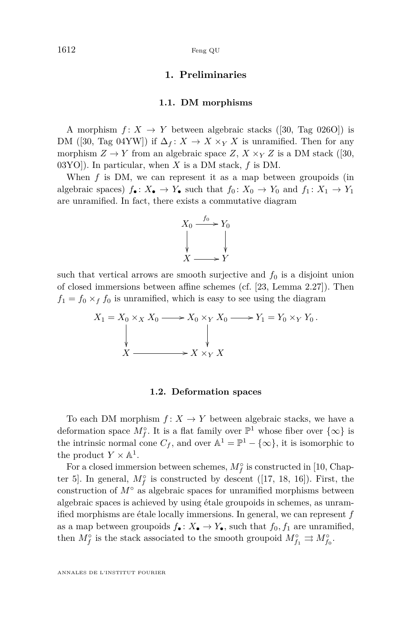#### **1. Preliminaries**

#### **1.1. DM morphisms**

<span id="page-4-0"></span>A morphism  $f: X \to Y$  between algebraic stacks ([\[30,](#page-33-6) Tag 026O]) is DM ([\[30,](#page-33-6) Tag 04YW]) if  $\Delta_f: X \to X \times_Y X$  is unramified. Then for any morphism  $Z \to Y$  from an algebraic space  $Z, X \times_Y Z$  is a DM stack ([\[30,](#page-33-6) 03YO]). In particular, when *X* is a DM stack, *f* is DM.

When *f* is DM, we can represent it as a map between groupoids (in algebraic spaces)  $f_{\bullet}: X_{\bullet} \to Y_{\bullet}$  such that  $f_0: X_0 \to Y_0$  and  $f_1: X_1 \to Y_1$ are unramified. In fact, there exists a commutative diagram



such that vertical arrows are smooth surjective and  $f_0$  is a disjoint union of closed immersions between affine schemes (cf. [\[23,](#page-33-0) Lemma 2.27]). Then  $f_1 = f_0 \times_f f_0$  is unramified, which is easy to see using the diagram

$$
X_1 = X_0 \times_X X_0 \longrightarrow X_0 \times_Y X_0 \longrightarrow Y_1 = Y_0 \times_Y Y_0.
$$
  
\n
$$
\downarrow \qquad \qquad \downarrow
$$
  
\n
$$
X \longrightarrow X \times_Y X
$$

#### **1.2. Deformation spaces**

To each DM morphism  $f: X \to Y$  between algebraic stacks, we have a deformation space  $M_f^{\circ}$ . It is a flat family over  $\mathbb{P}^1$  whose fiber over  $\{\infty\}$  is the intrinsic normal cone  $C_f$ , and over  $\mathbb{A}^1 = \mathbb{P}^1 - \{\infty\}$ , it is isomorphic to the product  $Y \times \mathbb{A}^1$ .

For a closed immersion between schemes,  $M_f^{\circ}$  is constructed in [\[10,](#page-32-1) Chapter 5]. In general,  $M_f^{\circ}$  is constructed by descent ([\[17,](#page-33-2) [18,](#page-33-3) [16\]](#page-32-2)). First, the construction of  $M^{\circ}$  as algebraic spaces for unramified morphisms between algebraic spaces is achieved by using étale groupoids in schemes, as unramified morphisms are étale locally immersions. In general, we can represent *f* as a map between groupoids  $f_{\bullet} : X_{\bullet} \to Y_{\bullet}$ , such that  $f_0, f_1$  are unramified, then  $M_f^{\circ}$  is the stack associated to the smooth groupoid  $M_{f_1}^{\circ} \rightrightarrows M_{f_0}^{\circ}$ .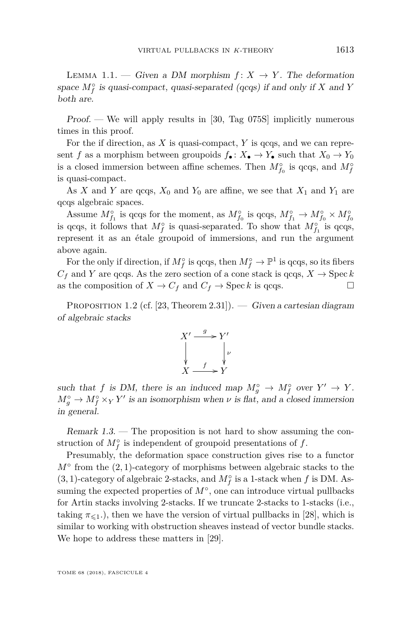<span id="page-5-0"></span>LEMMA 1.1. — Given a DM morphism  $f: X \rightarrow Y$ . The deformation space  $M_f^{\circ}$  is quasi-compact, quasi-separated (qcqs) if and only if *X* and *Y* both are.

Proof. — We will apply results in [\[30,](#page-33-6) Tag 075S] implicitly numerous times in this proof.

For the if direction, as *X* is quasi-compact, *Y* is qcqs, and we can represent *f* as a morphism between groupoids  $f_{\bullet} : X_{\bullet} \to Y_{\bullet}$  such that  $X_0 \to Y_0$ is a closed immersion between affine schemes. Then  $M_{f_0}^{\circ}$  is qcqs, and  $M_f^{\circ}$ is quasi-compact.

As *X* and *Y* are qcqs,  $X_0$  and  $Y_0$  are affine, we see that  $X_1$  and  $Y_1$  are qcqs algebraic spaces.

Assume  $M_{f_1}^\circ$  is qcqs for the moment, as  $M_{f_0}^\circ$  is qcqs,  $M_{f_1}^\circ \to M_{f_0}^\circ \times M_{f_0}^\circ$ is qcqs, it follows that  $M_f^{\circ}$  is quasi-separated. To show that  $M_{f_1}^{\circ}$  is qcqs, represent it as an étale groupoid of immersions, and run the argument above again.

For the only if direction, if  $M_f^{\circ}$  is qcqs, then  $M_f^{\circ} \to \mathbb{P}^1$  is qcqs, so its fibers  $C_f$  and *Y* are qcqs. As the zero section of a cone stack is qcqs,  $X \to \text{Spec } k$ as the composition of  $X \to C_f$  and  $C_f \to \text{Spec } k$  is qcqs.

<span id="page-5-1"></span>PROPOSITION 1.2 (cf. [\[23,](#page-33-0) Theorem 2.31]). — Given a cartesian diagram of algebraic stacks



such that *f* is DM, there is an induced map  $M_g^{\circ} \to M_f^{\circ}$  over  $Y' \to Y$ .  $M_g^{\circ} \to M_f^{\circ} \times_Y Y'$  is an isomorphism when *ν* is flat, and a closed immersion in general.

Remark 1.3. — The proposition is not hard to show assuming the construction of  $M_f^{\circ}$  is independent of groupoid presentations of  $f$ .

Presumably, the deformation space construction gives rise to a functor *M*<sup>○</sup> from the (2,1)-category of morphisms between algebraic stacks to the (3, 1)-category of algebraic 2-stacks, and  $M_f^{\circ}$  is a 1-stack when  $f$  is DM. Assuming the expected properties of  $M^{\circ}$ , one can introduce virtual pullbacks for Artin stacks involving 2-stacks. If we truncate 2-stacks to 1-stacks (i.e., taking  $\pi_{\leq 1}$ ), then we have the version of virtual pullbacks in [\[28\]](#page-33-7), which is similar to working with obstruction sheaves instead of vector bundle stacks. We hope to address these matters in [\[29\]](#page-33-8).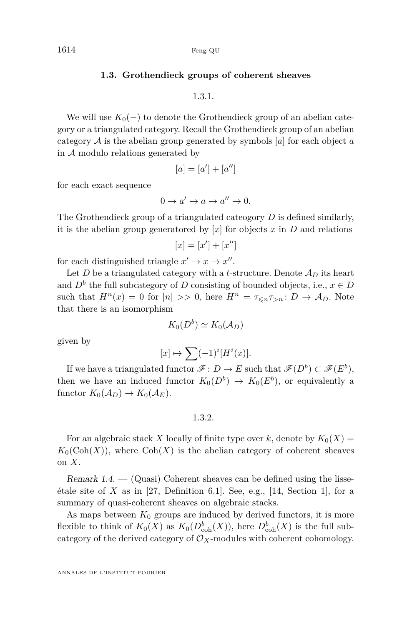#### **1.3. Grothendieck groups of coherent sheaves**

1.3.1.

We will use  $K_0(-)$  to denote the Grothendieck group of an abelian category or a triangulated category. Recall the Grothendieck group of an abelian category A is the abelian group generated by symbols [*a*] for each object *a* in  $A$  modulo relations generated by

$$
[a] = [a'] + [a'']
$$

for each exact sequence

$$
0 \to a' \to a \to a'' \to 0.
$$

The Grothendieck group of a triangulated cateogory *D* is defined similarly, it is the abelian group generatored by  $[x]$  for objects  $x$  in  $D$  and relations

$$
[x] = [x'] + [x'']
$$

for each distinguished triangle  $x' \to x \to x''$ .

Let *D* be a triangulated category with a *t*-structure. Denote  $\mathcal{A}_D$  its heart and  $D^b$  the full subcategory of *D* consisting of bounded objects, i.e.,  $x \in D$ such that  $H^n(x) = 0$  for  $|n| \gg 0$ , here  $H^n = \tau_{\leq n} \tau_{>n} : D \to A_D$ . Note that there is an isomorphism

$$
K_0(D^b)\simeq K_0(\mathcal{A}_D)
$$

given by

$$
[x] \mapsto \sum (-1)^i [H^i(x)].
$$

If we have a triangulated functor  $\mathscr{F} \colon D \to E$  such that  $\mathscr{F}(D^b) \subset \mathscr{F}(E^b)$ , then we have an induced functor  $K_0(D^b) \to K_0(E^b)$ , or equivalently a functor  $K_0(\mathcal{A}_D) \to K_0(\mathcal{A}_E)$ .

1.3.2.

For an algebraic stack *X* locally of finite type over *k*, denote by  $K_0(X) =$  $K_0(\text{Coh}(X))$ , where  $\text{Coh}(X)$  is the abelian category of coherent sheaves on *X*.

Remark  $1.4.$  — (Quasi) Coherent sheaves can be defined using the lisseétale site of *X* as in [\[27,](#page-33-9) Definition 6.1]. See, e.g., [\[14,](#page-32-5) Section 1], for a summary of quasi-coherent sheaves on algebraic stacks.

As maps between  $K_0$  groups are induced by derived functors, it is more flexible to think of  $K_0(X)$  as  $K_0(D_{\text{coh}}^b(X))$ , here  $D_{\text{coh}}^b(X)$  is the full subcategory of the derived category of  $\mathcal{O}_X$ -modules with coherent cohomology.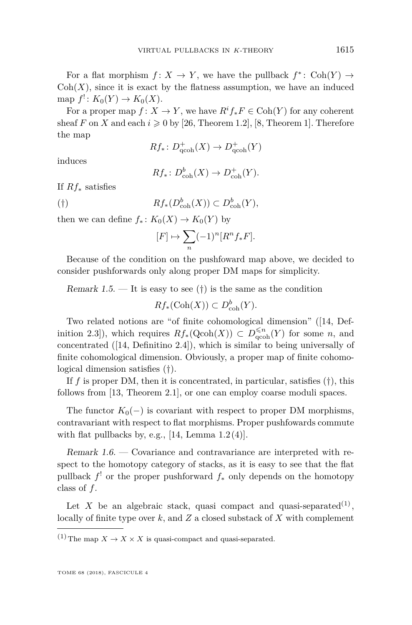For a flat morphism  $f: X \to Y$ , we have the pullback  $f^* \colon \text{Coh}(Y) \to$  $Coh(X)$ , since it is exact by the flatness assumption, we have an induced  $\text{map } f' : K_0(Y) \to K_0(X).$ 

For a proper map  $f: X \to Y$ , we have  $R^if_*F \in \text{Coh}(Y)$  for any coherent sheaf *F* on *X* and each  $i \geq 0$  by [\[26,](#page-33-10) Theorem 1.2], [\[8,](#page-32-6) Theorem 1]. Therefore the map

$$
Rf_*\colon D^+_{\text{qcoh}}(X)\to D^+_{\text{qcoh}}(Y)
$$

induces

$$
Rf_*\colon D^b_{\text{coh}}(X) \to D^+_{\text{coh}}(Y).
$$

If *Rf*<sup>∗</sup> satisfies

<span id="page-7-0"></span>(†)  $Rf_*(D_{coh}^b(X)) \subset D_{coh}^b(Y),$ 

then we can define  $f_*: K_0(X) \to K_0(Y)$  by

$$
[F]\mapsto \sum_n (-1)^n [R^nf_*F].
$$

Because of the condition on the pushfoward map above, we decided to consider pushforwards only along proper DM maps for simplicity.

Remark 1.5. — It is easy to see  $(\dagger)$  is the same as the condition

$$
Rf_*(\mathrm{Coh}(X)) \subset D^b_{\mathrm{coh}}(Y).
$$

Two related notions are "of finite cohomological dimension" ([\[14,](#page-32-5) Definition 2.3]), which requires  $Rf_*(Qcoh(X)) \subset D_{qcoh}^{\leq n}(Y)$  for some *n*, and concentrated ([\[14,](#page-32-5) Definitino 2.4]), which is similar to being universally of finite cohomological dimension. Obviously, a proper map of finite cohomological dimension satisfies ([†](#page-7-0)).

If  $f$  is proper DM, then it is concentrated, in particular, satisfies  $(\dagger)$ , this follows from [\[13,](#page-32-7) Theorem 2.1], or one can employ coarse moduli spaces.

The functor  $K_0(-)$  is covariant with respect to proper DM morphisms, contravariant with respect to flat morphisms. Proper pushfowards commute with flat pullbacks by, e.g., [\[14,](#page-32-5) Lemma  $1.2(4)$ ].

Remark 1.6. — Covariance and contravariance are interpreted with respect to the homotopy category of stacks, as it is easy to see that the flat pullback *f* ! or the proper pushforward *f*<sup>∗</sup> only depends on the homotopy class of *f*.

Let *X* be an algebraic stack, quasi compact and quasi-separated<sup>(1)</sup>, locally of finite type over *k*, and *Z* a closed substack of *X* with complement

<sup>(1)</sup> The map  $X \to X \times X$  is quasi-compact and quasi-separated.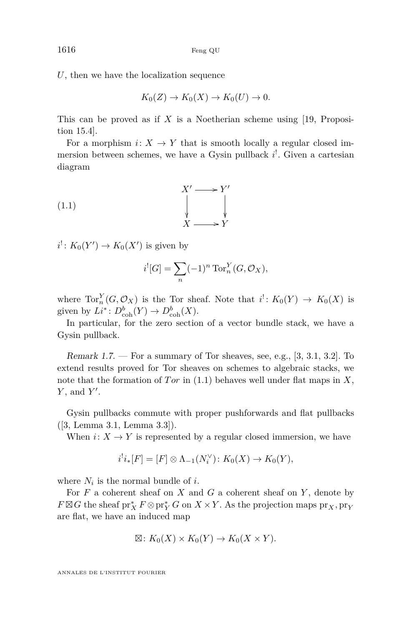*U*, then we have the localization sequence

$$
K_0(Z) \to K_0(X) \to K_0(U) \to 0.
$$

This can be proved as if *X* is a Noetherian scheme using [\[19,](#page-33-11) Proposition 15.4].

For a morphism  $i: X \to Y$  that is smooth locally a regular closed immersion between schemes, we have a Gysin pullback  $i^!$ . Given a cartesian diagram

$$
\begin{array}{ccc}\n & X' \longrightarrow Y' \\
 & \downarrow & \downarrow \\
 & X \longrightarrow Y\n\end{array}
$$

 $i^! \colon K_0(Y') \to K_0(X')$  is given by

<span id="page-8-0"></span>
$$
i^{!}[G] = \sum_{n} (-1)^{n} \operatorname{Tor}_{n}^{Y}(G, \mathcal{O}_{X}),
$$

where  $Tor_n^Y(G,\mathcal{O}_X)$  is the Tor sheaf. Note that  $i^!: K_0(Y) \to K_0(X)$  is given by  $Li^*: D^b_{\text{coh}}(Y) \to D^b_{\text{coh}}(X)$ .

In particular, for the zero section of a vector bundle stack, we have a Gysin pullback.

Remark 1.7. — For a summary of Tor sheaves, see, e.g., [\[3,](#page-32-0) 3.1, 3.2]. To extend results proved for Tor sheaves on schemes to algebraic stacks, we note that the formation of *Tor* in  $(1.1)$  behaves well under flat maps in X, *Y*, and *Y'*.

Gysin pullbacks commute with proper pushforwards and flat pullbacks ([\[3,](#page-32-0) Lemma 3.1, Lemma 3.3]).

When  $i: X \to Y$  is represented by a regular closed immersion, we have

$$
i^!i_*[F] = [F] \otimes \Lambda_{-1}(N_i^{\vee}) \colon K_0(X) \to K_0(Y),
$$

where  $N_i$  is the normal bundle of *i*.

For *F* a coherent sheaf on *X* and *G* a coherent sheaf on *Y* , denote by  $F \boxtimes G$  the sheaf  $\mathrm{pr}_{X}^{*} F \otimes \mathrm{pr}_{Y}^{*} G$  on  $X \times Y$ . As the projection maps  $\mathrm{pr}_{X}, \mathrm{pr}_{Y}$ are flat, we have an induced map

$$
\boxtimes: K_0(X) \times K_0(Y) \to K_0(X \times Y).
$$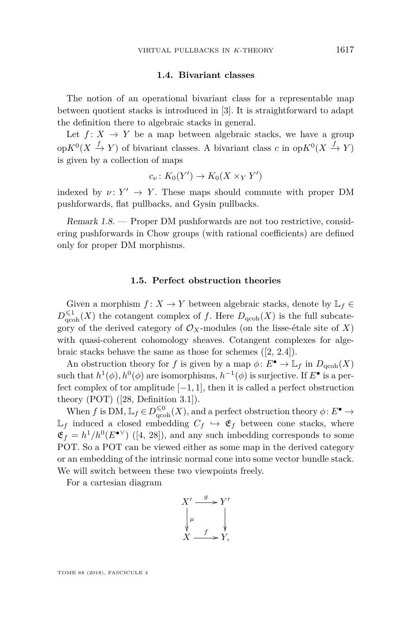#### **1.4. Bivariant classes**

The notion of an operational bivariant class for a representable map between quotient stacks is introduced in [\[3\]](#page-32-0). It is straightforward to adapt the definition there to algebraic stacks in general.

Let  $f: X \to Y$  be a map between algebraic stacks, we have a group op $K^0(X \xrightarrow{f} Y)$  of bivariant classes. A bivariant class *c* in op $K^0(X \xrightarrow{f} Y)$ is given by a collection of maps

$$
c_{\nu} \colon K_0(Y') \to K_0(X \times_Y Y')
$$

indexed by  $\nu: Y' \to Y$ . These maps should commute with proper DM pushforwards, flat pullbacks, and Gysin pullbacks.

Remark 1.8. — Proper DM pushforwards are not too restrictive, considering pushforwards in Chow groups (with rational coefficients) are defined only for proper DM morphisms.

#### **1.5. Perfect obstruction theories**

Given a morphism  $f: X \to Y$  between algebraic stacks, denote by  $\mathbb{L}_f \in$  $D_{\rm qcoh}^{\leq 1}(X)$  the cotangent complex of *f*. Here  $D_{\rm qcoh}(X)$  is the full subcategory of the derived category of  $\mathcal{O}_X$ -modules (on the lisse-étale site of X) with quasi-coherent cohomology sheaves. Cotangent complexes for algebraic stacks behave the same as those for schemes ([\[2,](#page-32-8) 2.4]).

An obstruction theory for *f* is given by a map  $\phi: E^{\bullet} \to \mathbb{L}_f$  in  $D_{\text{qcoh}}(X)$ such that  $h^1(\phi), h^0(\phi)$  are isomorphisms,  $h^{-1}(\phi)$  is surjective. If  $E^{\bullet}$  is a perfect complex of tor amplitude [−1*,* 1], then it is called a perfect obstruction theory (POT) ([\[28,](#page-33-7) Definition 3.1]).

When *f* is DM,  $\mathbb{L}_f \in D_{\text{qcoh}}^{\leq 0}(X)$ , and a perfect obstruction theory  $\phi: E^{\bullet} \to$  $\mathbb{L}_f$  induced a closed embedding  $C_f \leftrightarrow \mathfrak{E}_f$  between cone stacks, where  $\mathfrak{E}_f = h^1/h^0(E^{\bullet \vee})$  ([\[4,](#page-32-3) [28\]](#page-33-7)), and any such imbedding corresponds to some POT. So a POT can be viewed either as some map in the derived category or an embedding of the intrinsic normal cone into some vector bundle stack. We will switch between these two viewpoints freely.

For a cartesian diagram

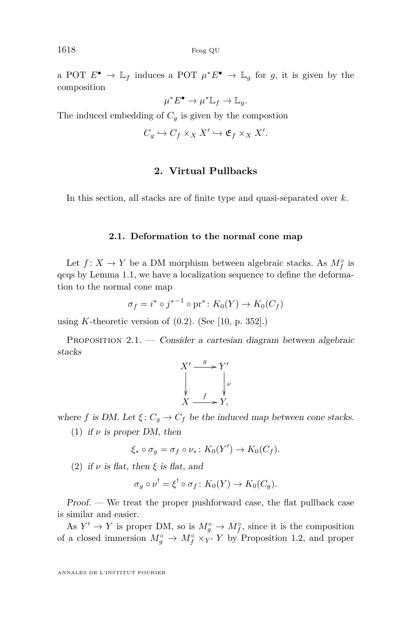a POT  $E^{\bullet} \to \mathbb{L}_f$  induces a POT  $\mu^* E^{\bullet} \to \mathbb{L}_g$  for g, it is given by the composition

$$
\mu^* E^{\bullet} \to \mu^* \mathbb{L}_f \to \mathbb{L}_g.
$$

The induced embedding of  $C_g$  is given by the compostion

$$
C_g \hookrightarrow C_f \times_X X' \hookrightarrow \mathfrak{E}_f \times_X X'.
$$

#### **2. Virtual Pullbacks**

<span id="page-10-0"></span>In this section, all stacks are of finite type and quasi-separated over *k*.

#### **2.1. Deformation to the normal cone map**

Let  $f: X \to Y$  be a DM morphism between algebraic stacks. As  $M_f^{\circ}$  is qcqs by Lemma [1.1,](#page-5-0) we have a localization sequence to define the deformation to the normal cone map

$$
\sigma_f = i^* \circ j^{*-1} \circ \text{pr}^* \colon K_0(Y) \to K_0(C_f)
$$

using *K*-theoretic version of  $(0.2)$ . (See [\[10,](#page-32-1) p. 352].)

<span id="page-10-2"></span>PROPOSITION  $2.1.$  — Consider a cartesian diagram between algebraic stacks

$$
X' \xrightarrow{g} Y' \downarrow_{\nu}
$$
  
\n
$$
\downarrow_{\nu}
$$
  
\n
$$
X \xrightarrow{f} Y,
$$

<span id="page-10-1"></span>where *f* is DM. Let  $\xi: C_g \to C_f$  be the induced map between cone stacks.

(1) if  $\nu$  is proper DM, then

$$
\xi_* \circ \sigma_g = \sigma_f \circ \nu_* \colon K_0(Y') \to K_0(C_f).
$$

(2) if  $\nu$  is flat, then  $\xi$  is flat, and

$$
\sigma_g \circ \nu^! = \xi^! \circ \sigma_f \colon K_0(Y) \to K_0(C_g).
$$

Proof. — We treat the proper pushforward case, the flat pullback case is similar and easier.

As  $Y' \to Y$  is proper DM, so is  $M_g^{\circ} \to M_f^{\circ}$ , since it is the composition of a closed immersion  $M_g^{\circ} \to M_f^{\circ} \times_{Y'} Y$  by Proposition [1.2,](#page-5-1) and proper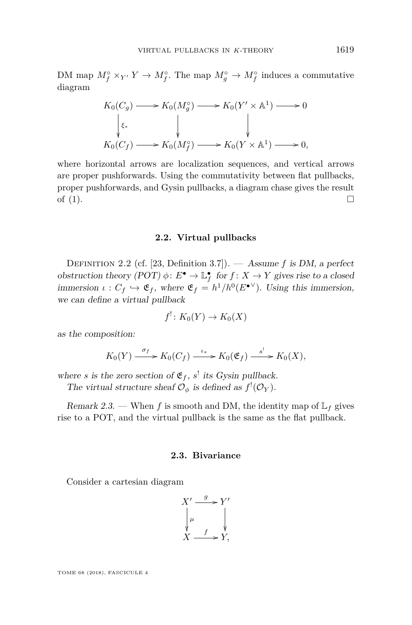DM map  $M_f^{\circ} \times_{Y'} Y \to M_f^{\circ}$ . The map  $M_g^{\circ} \to M_f^{\circ}$  induces a commutative diagram

$$
K_0(C_g) \longrightarrow K_0(M_g^{\circ}) \longrightarrow K_0(Y' \times \mathbb{A}^1) \longrightarrow 0
$$
  
\n
$$
\downarrow \varepsilon_*
$$
  
\n
$$
K_0(C_f) \longrightarrow K_0(M_f^{\circ}) \longrightarrow K_0(Y \times \mathbb{A}^1) \longrightarrow 0,
$$

where horizontal arrows are localization sequences, and vertical arrows are proper pushforwards. Using the commutativity between flat pullbacks, proper pushforwards, and Gysin pullbacks, a diagram chase gives the result of  $(1)$ .

#### **2.2. Virtual pullbacks**

Definition 2.2 (cf. [\[23,](#page-33-0) Definition 3.7]). — Assume *f* is DM, a perfect obstruction theory  $(POT) \phi : E^{\bullet} \to \mathbb{L}^{\bullet}_f$  for  $f : X \to Y$  gives rise to a closed immersion  $\iota : C_f \hookrightarrow \mathfrak{E}_f$ , where  $\mathfrak{E}_f = h^1/h^0(E^{\bullet \vee})$ . Using this immersion, we can define a virtual pullback

$$
f^!\colon K_0(Y)\to K_0(X)
$$

as the composition:

$$
K_0(Y) \xrightarrow{\sigma_f} K_0(C_f) \xrightarrow{\iota_*} K_0(\mathfrak{E}_f) \xrightarrow{\cdot s^!} K_0(X),
$$

where *s* is the zero section of  $\mathfrak{E}_f$ , *s*<sup>!</sup> its Gysin pullback.

The virtual structure sheaf  $\mathcal{O}_{\phi}$  is defined as  $f'(\mathcal{O}_Y)$ .

Remark 2.3. — When f is smooth and DM, the identity map of  $\mathbb{L}_f$  gives rise to a POT, and the virtual pullback is the same as the flat pullback.

#### **2.3. Bivariance**

Consider a cartesian diagram

$$
X' \xrightarrow{g} Y'
$$
  
\n
$$
\downarrow^{\mu} \qquad \qquad \downarrow^{\prime}
$$
  
\n
$$
X \xrightarrow{f} Y,
$$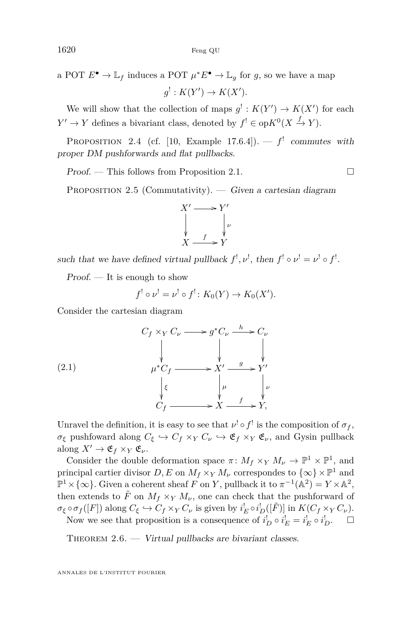a POT  $E^{\bullet} \to \mathbb{L}_f$  induces a POT  $\mu^* E^{\bullet} \to \mathbb{L}_g$  for *g*, so we have a map  $g^{!}: K(Y') \to K(X').$ 

We will show that the collection of maps  $g' : K(Y') \to K(X')$  for each  $Y' \to Y$  defines a bivariant class, denoted by  $f' \in op K^0(X \xrightarrow{f} Y)$ .

PROPOSITION 2.4 (cf. [\[10,](#page-32-1) Example 17.6.4]).  $-f'$  commutes with proper DM pushforwards and flat pullbacks.

 $Proof.$  — This follows from Proposition [2.1.](#page-10-2)

PROPOSITION 2.5 (Commutativity). — Given a cartesian diagram



such that we have defined virtual pullback  $f^!, \nu^!,$  then  $f^! \circ \nu^! = \nu^! \circ f^!$ .

 $Proof.$  — It is enough to show

$$
f^! \circ \nu^! = \nu^! \circ f^! \colon K_0(Y) \to K_0(X').
$$

Consider the cartesian diagram

(2.1)  
\n
$$
\begin{array}{ccc}\nC_f \times_Y C_\nu \longrightarrow g^* C_\nu \xrightarrow{h} C_\nu \\
& \downarrow & \downarrow \\
\mu^* C_f \longrightarrow X' \xrightarrow{g} Y' \\
& \downarrow \varepsilon & \downarrow \mu \\
C_f \longrightarrow X \xrightarrow{f} Y, \\
& \downarrow \varepsilon & \downarrow \nu \\
& \downarrow \varepsilon & \downarrow \nu \\
& \downarrow \varepsilon & \downarrow \nu \\
& \downarrow \varepsilon & \downarrow \nu \\
& \downarrow \varepsilon & \downarrow \nu \\
& \downarrow \varepsilon & \downarrow \nu \\
& \downarrow \varepsilon & \downarrow \nu \\
& \downarrow \varepsilon & \downarrow \nu\n\end{array}
$$

Unravel the definition, it is easy to see that  $\nu^! \circ f^!$  is the composition of  $\sigma_f$ , *σξ* pushfoward along  $C_{\xi} \hookrightarrow C_f \times_Y C_{\nu} \hookrightarrow \mathfrak{E}_f \times_Y \mathfrak{E}_{\nu}$ , and Gysin pullback along  $X' \to \mathfrak{E}_f \times_Y \mathfrak{E}_\nu$ .

Consider the double deformation space  $\pi$ :  $M_f \times_Y M_\nu \to \mathbb{P}^1 \times \mathbb{P}^1$ , and principal cartier divisor  $D, E$  on  $M_f \times_Y M_\nu$  correspondes to  $\{\infty\} \times \mathbb{P}^1$  and  $\mathbb{P}^1 \times {\infty}$ . Given a coherent sheaf *F* on *Y*, pullback it to  $\pi^{-1}(\mathbb{A}^2) = Y \times \mathbb{A}^2$ , then extends to  $\tilde{F}$  on  $M_f \times_Y M_\nu$ , one can check that the pushforward of  $\sigma_{\xi} \circ \sigma_f([F])$  along  $C_{\xi} \hookrightarrow C_f \times_Y C_{\nu}$  is given by  $i_E^! \circ i_D^!([\tilde{F})]$  in  $K(C_f \times_Y C_{\nu})$ . Now we see that proposition is a consequence of  $i_D^! \circ i_E^! = i_E^! \circ i_D^!$ .  $\Box$ 

THEOREM  $2.6.$  — Virtual pullbacks are bivariant classes.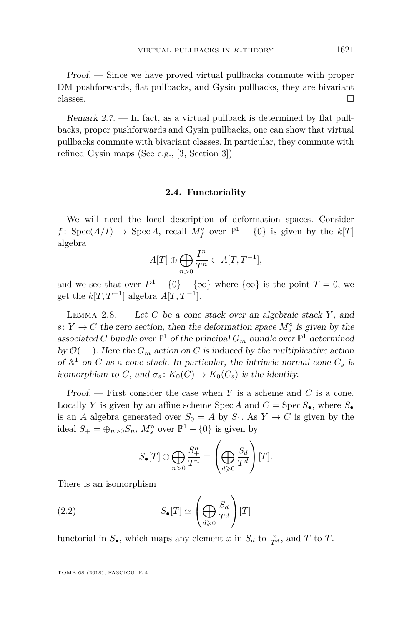Proof. — Since we have proved virtual pullbacks commute with proper DM pushforwards, flat pullbacks, and Gysin pullbacks, they are bivariant classes.  $\Box$ 

Remark 2.7. — In fact, as a virtual pullback is determined by flat pullbacks, proper pushforwards and Gysin pullbacks, one can show that virtual pullbacks commute with bivariant classes. In particular, they commute with refined Gysin maps (See e.g., [\[3,](#page-32-0) Section 3])

#### **2.4. Functoriality**

We will need the local description of deformation spaces. Consider *f*: Spec(*A*/*I*) → Spec *A*, recall  $M_f^{\circ}$  over  $\mathbb{P}^1 - \{0\}$  is given by the  $k[T]$ algebra

$$
A[T] \oplus \bigoplus_{n>0} \frac{I^n}{T^n} \subset A[T, T^{-1}],
$$

and we see that over  $P^1 - \{0\} - \{\infty\}$  where  $\{\infty\}$  is the point  $T = 0$ , we get the  $k[T, T^{-1}]$  algebra  $A[T, T^{-1}]$ .

Lemma 2.8. — Let *C* be a cone stack over an algebraic stack *Y* , and *s*: *Y* → *C* the zero section, then the deformation space  $M_s^{\circ}$  is given by the associated *C* bundle over  $\mathbb{P}^1$  of the principal  $G_m$  bundle over  $\mathbb{P}^1$  determined by  $\mathcal{O}(-1)$ . Here the  $G_m$  action on *C* is induced by the multiplicative action of  $\mathbb{A}^1$  on *C* as a cone stack. In particular, the intrinsic normal cone  $C_s$  is isomorphism to *C*, and  $\sigma_s$ :  $K_0(C) \to K_0(C_s)$  is the identity.

Proof. — First consider the case when *Y* is a scheme and *C* is a cone. Locally *Y* is given by an affine scheme Spec *A* and  $C = \text{Spec } S_{\bullet}$ , where  $S_{\bullet}$ is an *A* algebra generated over  $S_0 = A$  by  $S_1$ . As  $Y \to C$  is given by the ideal  $S_+ = \bigoplus_{n>0} S_n$ ,  $M_s^{\circ}$  over  $\mathbb{P}^1 - \{0\}$  is given by

<span id="page-13-0"></span>
$$
S_{\bullet}[T] \oplus \bigoplus_{n>0} \frac{S_{+}^{n}}{T^{n}} = \left(\bigoplus_{d\geqslant 0} \frac{S_{d}}{T^{d}}\right)[T].
$$

There is an isomorphism

(2.2) 
$$
S_{\bullet}[T] \simeq \left(\bigoplus_{d\geqslant 0} \frac{S_d}{T^d}\right)[T]
$$

functorial in  $S_{\bullet}$ , which maps any element *x* in  $S_d$  to  $\frac{x}{T^d}$ , and *T* to *T*.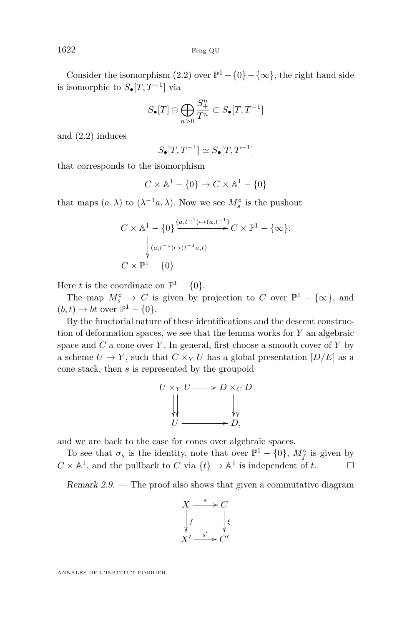Consider the isomorphism  $(2.2)$  over  $\mathbb{P}^1 - \{0\} - \{\infty\}$ , the right hand side is isomorphic to  $S_{\bullet}[T, T^{-1}]$  via

$$
S_{\bullet}[T]\oplus \bigoplus_{n>0}\frac{S^{n}_{+}}{T^{n}}\subset S_{\bullet}[T,T^{-1}]
$$

and [\(2.2\)](#page-13-0) induces

$$
S_{\bullet}[T, T^{-1}] \simeq S_{\bullet}[T, T^{-1}]
$$

that corresponds to the isomorphism

$$
C \times \mathbb{A}^1 - \{0\} \to C \times \mathbb{A}^1 - \{0\}
$$

that maps  $(a, \lambda)$  to  $(\lambda^{-1}a, \lambda)$ . Now we see  $M_s^{\circ}$  is the pushout

$$
C \times \mathbb{A}^1 - \{0\} \xrightarrow{(a,t^{-1}) \mapsto (a,t^{-1})} C \times \mathbb{P}^1 - \{\infty\}.
$$
  

$$
\downarrow (a,t^{-1}) \mapsto (t^{-1}a,t)
$$
  

$$
C \times \mathbb{P}^1 - \{0\}
$$

Here *t* is the coordinate on  $\mathbb{P}^1 - \{0\}.$ 

The map  $M_s^{\circ} \to C$  is given by projection to *C* over  $\mathbb{P}^1 - {\infty}$ , and  $(b, t) \mapsto bt$  over  $\mathbb{P}^1 - \{0\}.$ 

By the functorial nature of these identifications and the descent construction of deformation spaces, we see that the lemma works for *Y* an algebraic space and *C* a cone over *Y* . In general, first choose a smooth cover of *Y* by a scheme  $U \to Y$ , such that  $C \times_Y U$  has a global presentation  $[D/E]$  as a cone stack, then *s* is represented by the groupoid

$$
U \times_Y U \longrightarrow D \times_C D
$$
  
\n
$$
\downarrow \qquad \qquad \downarrow \qquad \qquad \downarrow
$$
  
\n
$$
U \longrightarrow D,
$$

and we are back to the case for cones over algebraic spaces.

To see that  $\sigma_s$  is the identity, note that over  $\mathbb{P}^1 - \{0\}$ ,  $M_f^{\circ}$  is given by  $C \times \mathbb{A}^1$ , and the pullback to *C* via  $\{t\} \to \mathbb{A}^1$  is independent of *t*.

Remark  $2.9.$  – The proof also shows that given a commutative diagram

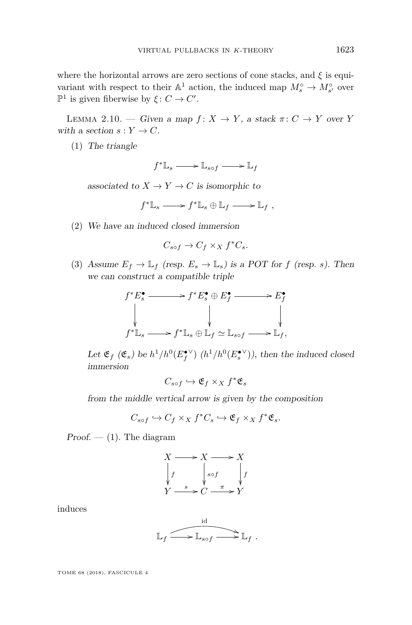where the horizontal arrows are zero sections of cone stacks, and *ξ* is equivariant with respect to their  $\mathbb{A}^1$  action, the induced map  $M_s^{\circ} \to M_{s'}^{\circ}$  over  $\mathbb{P}^1$  is given fiberwise by  $\xi: C \to C'.$ 

<span id="page-15-3"></span>LEMMA 2.10. — Given a map  $f: X \to Y$ , a stack  $\pi: C \to Y$  over *Y* with a section  $s: Y \to C$ .

<span id="page-15-0"></span>(1) The triangle

$$
f^* \mathbb{L}_s \mathchoice{\longrightarrow}{\rightarrow}{\rightarrow}{\rightarrow} \mathbb{L}_{s \circ f} \mathchoice{\longrightarrow}{\rightarrow}{\rightarrow}{\rightarrow} \mathbb{L}_f
$$

associated to  $X \to Y \to C$  is isomorphic to

$$
f^* \mathbb{L}_s \longrightarrow f^* \mathbb{L}_s \oplus \mathbb{L}_f \longrightarrow \mathbb{L}_f ,
$$

<span id="page-15-1"></span>(2) We have an induced closed immersion

$$
C_{s \circ f} \to C_f \times_X f^* C_s.
$$

<span id="page-15-2"></span>(3) Assume  $E_f \to \mathbb{L}_f$  (resp.  $E_s \to \mathbb{L}_s$ ) is a POT for *f* (resp. *s*). Then we can construct a compatible triple

$$
f^*E_s^\bullet \xrightarrow{\hspace{1cm}} f^*E_s^\bullet \oplus E_f^\bullet \xrightarrow{\hspace{1cm}} E_f^\bullet
$$
  
\n
$$
\downarrow \qquad \qquad \downarrow \qquad \qquad \downarrow
$$
  
\n
$$
f^*L_s \xrightarrow{\hspace{1cm}} f^*L_s \oplus \mathbb{L}_f \simeq \mathbb{L}_{s \circ f} \xrightarrow{\hspace{1cm}} \mathbb{L}_f,
$$

Let  $\mathfrak{E}_f$  ( $\mathfrak{E}_s$ ) be  $h^1/h^0(E_f^{\bullet \vee})$  ( $h^1/h^0(E_s^{\bullet \vee})$ ), then the induced closed immersion

 $C_{s \circ f} \hookrightarrow \mathfrak{E}_f \times_X f^* \mathfrak{E}_s$ 

from the middle vertical arrow is given by the composition

$$
C_{s\circ f}\hookrightarrow C_f\times_X f^*C_s\hookrightarrow \mathfrak{E}_f\times_X f^*\mathfrak{E}_s.
$$

 $Proof. - (1)$  $Proof. - (1)$ . The diagram

$$
X \longrightarrow X \longrightarrow X
$$
  
\n
$$
\downarrow f \qquad \qquad s \circ f \qquad \qquad \downarrow f
$$
  
\n
$$
Y \xrightarrow{s} C \xrightarrow{\pi} Y
$$

induces

$$
\mathbb{L}_f \xrightarrow{\text{id}} \mathbb{L}_{s \circ f} \xrightarrow{\text{id}} \mathbb{L}_f.
$$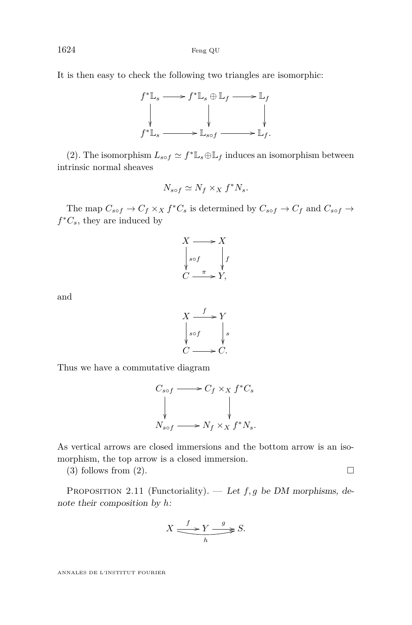It is then easy to check the following two triangles are isomorphic:



[\(2\)](#page-15-1). The isomorphism  $L_{sof} \simeq f^* \mathbb{L}_s \oplus \mathbb{L}_f$  induces an isomorphism between intrinsic normal sheaves

$$
N_{s \circ f} \simeq N_f \times_X f^* N_s.
$$

The map  $C_{sof} \to C_f \times_X f^*C_s$  is determined by  $C_{sof} \to C_f$  and  $C_{sof} \to C_f$  $f^*C_s$ , they are induced by



and



Thus we have a commutative diagram



As vertical arrows are closed immersions and the bottom arrow is an isomorphism, the top arrow is a closed immersion.

[\(3\)](#page-15-2) follows from [\(2\)](#page-15-1).  $\Box$ 

<span id="page-16-0"></span>PROPOSITION 2.11 (Functoriality). — Let *f*, *g* be DM morphisms, denote their composition by *h*:

$$
X \xrightarrow{f} Y \xrightarrow{g} S.
$$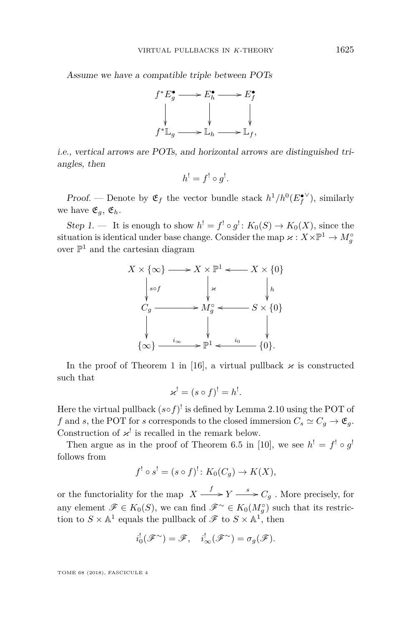Assume we have a compatible triple between POTs



i.e., vertical arrows are POTs, and horizontal arrows are distinguished triangles, then

$$
h^! = f^! \circ g^!.
$$

Proof. — Denote by  $\mathfrak{E}_f$  the vector bundle stack  $h^1/h^0(E_f^{\bullet \vee})$ , similarly we have  $\mathfrak{E}_a$ ,  $\mathfrak{E}_h$ .

Step 1. — It is enough to show  $h' = f' \circ g' : K_0(S) \to K_0(X)$ , since the situation is identical under base change. Consider the map  $\varkappa : X \times \mathbb{P}^1 \to M_g^{\circ}$ over  $\mathbb{P}^1$  and the cartesian diagram



In the proof of Theorem 1 in [\[16\]](#page-32-2), a virtual pullback  $\varkappa$  is constructed such that

$$
\varkappa^! = (s \circ f)^! = h^!.
$$

Here the virtual pullback  $(s \circ f)^!$  is defined by Lemma [2.10](#page-15-3) using the POT of *f* and *s*, the POT for *s* corresponds to the closed immersion  $C_s \simeq C_g \rightarrow \mathfrak{E}_g$ . Construction of  $\varkappa^!$  is recalled in the remark below.

Then argue as in the proof of Theorem 6.5 in [\[10\]](#page-32-1), we see  $h' = f' \circ g'$ follows from

$$
f^! \circ s^! = (s \circ f)^! \colon K_0(C_g) \to K(X),
$$

or the functoriality for the map  $X \xrightarrow{f} Y \xrightarrow{s} C_g$ . More precisely, for any element  $\mathscr{F} \in K_0(S)$ , we can find  $\mathscr{F}^\sim \in K_0(M_g^{\circ})$  such that its restriction to  $S \times \mathbb{A}^1$  equals the pullback of  $\mathscr{F}$  to  $S \times \mathbb{A}^1$ , then

$$
i_0^!(\mathscr{F}^{\sim}) = \mathscr{F}, \quad i_{\infty}^!(\mathscr{F}^{\sim}) = \sigma_g(\mathscr{F}).
$$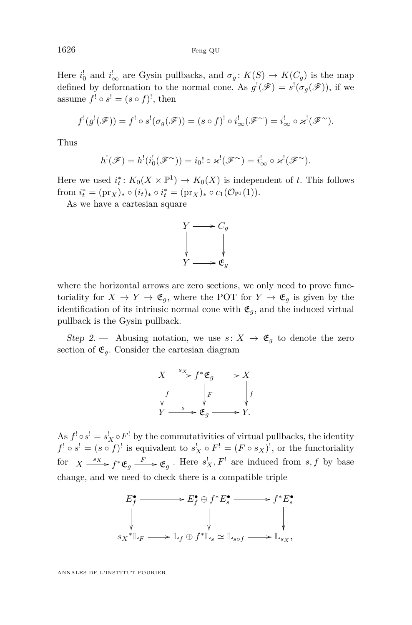1626 Feng QU

Here  $i_0^!$  and  $i_\infty^!$  are Gysin pullbacks, and  $\sigma_g: K(S) \to K(C_g)$  is the map defined by deformation to the normal cone. As  $g'(\mathscr{F}) = s'(\sigma_g(\mathscr{F}))$ , if we assume  $f' \circ s' = (s \circ f)'$ , then

$$
f^!(g^!(\mathscr{F})) = f^! \circ s^! (\sigma_g(\mathscr{F})) = (s \circ f)^! \circ i^!_{\infty}(\mathscr{F}^{\sim}) = i^!_{\infty} \circ \varkappa^! (\mathscr{F}^{\sim}).
$$

Thus

$$
h^!(\mathscr{F})=h^!(i_0^!(\mathscr{F}^\sim))=i_0!\circ \varkappa^!(\mathscr{F}^\sim)=i_\infty^!\circ \varkappa^!(\mathscr{F}^\sim).
$$

Here we used  $i_t^*$ :  $K_0(X \times \mathbb{P}^1) \to K_0(X)$  is independent of *t*. This follows from  $i_t^* = (\text{pr}_X)_* \circ (i_t)_* \circ i_t^* = (\text{pr}_X)_* \circ c_1(\mathcal{O}_{\mathbb{P}^1}(1)).$ 

As we have a cartesian square



where the horizontal arrows are zero sections, we only need to prove functoriality for  $X \to Y \to \mathfrak{E}_g$ , where the POT for  $Y \to \mathfrak{E}_g$  is given by the identification of its intrinsic normal cone with  $\mathfrak{E}_g$ , and the induced virtual pullback is the Gysin pullback.

Step 2. — Abusing notation, we use  $s: X \to \mathfrak{E}_q$  to denote the zero section of  $\mathfrak{E}_g$ . Consider the cartesian diagram

$$
X \xrightarrow{s_X} f^* \mathfrak{E}_g \longrightarrow X
$$
  
\n
$$
\downarrow f \qquad \qquad \downarrow F \qquad \qquad \downarrow f
$$
  
\n
$$
Y \xrightarrow{s} \mathfrak{E}_g \longrightarrow Y.
$$

As  $f^! \circ s^! = s^! \circ F^!$  by the commutativities of virtual pullbacks, the identity  $f^! \circ s^! = (s \circ f)^!$  is equivalent to  $s^!_X \circ F^! = (F \circ s_X)^!$ , or the functoriality for  $X \xrightarrow{s_X} f^* \mathfrak{E}_g \xrightarrow{F} \mathfrak{E}_g$ . Here  $s_X^! F^!$  are induced from  $s, f$  by base change, and we need to check there is a compatible triple

$$
E_f^{\bullet} \longrightarrow E_f^{\bullet} \oplus f^* E_s^{\bullet} \longrightarrow f^* E_s^{\bullet}
$$
  
\n
$$
\downarrow \qquad \qquad \downarrow \qquad \qquad \downarrow
$$
  
\n
$$
s_X^* \mathbb{L}_F \longrightarrow \mathbb{L}_f \oplus f^* \mathbb{L}_s \simeq \mathbb{L}_{s \circ f} \longrightarrow \mathbb{L}_{s_X},
$$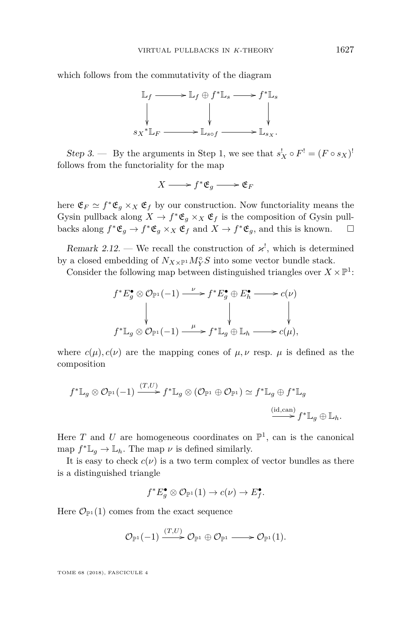which follows from the commutativity of the diagram



Step 3. — By the arguments in Step 1, we see that  $s_X^! \circ F^! = (F \circ s_X)^!$ follows from the functoriality for the map

$$
X \longrightarrow f^* \mathfrak{E}_g \longrightarrow \mathfrak{E}_F
$$

here  $\mathfrak{E}_F \simeq f^* \mathfrak{E}_g \times_X \mathfrak{E}_f$  by our construction. Now functoriality means the Gysin pullback along  $X \to f^* \mathfrak{E}_g \times_X \mathfrak{E}_f$  is the composition of Gysin pullbacks along  $f^* \mathfrak{E}_g \to f^* \mathfrak{E}_g \times_X \mathfrak{E}_f$  and  $X \to f^* \mathfrak{E}_g$ , and this is known.  $\square$ 

Remark 2.12. — We recall the construction of  $\varkappa^!$ , which is determined by a closed embedding of  $N_{X\times \mathbb{P}^1}M_Y^\circ S$  into some vector bundle stack.

Consider the following map between distinguished triangles over  $X \times \mathbb{P}^1$ :

$$
f^*E_g^{\bullet} \otimes \mathcal{O}_{\mathbb{P}^1}(-1) \xrightarrow{\nu} f^*E_g^{\bullet} \oplus E_h^{\bullet} \longrightarrow c(\nu)
$$
  
\n
$$
\downarrow \qquad \qquad \downarrow \qquad \qquad \downarrow
$$
  
\n
$$
f^*L_g \otimes \mathcal{O}_{\mathbb{P}^1}(-1) \xrightarrow{\mu} f^*L_g \oplus L_h \longrightarrow c(\mu),
$$

where  $c(\mu)$ ,  $c(\nu)$  are the mapping cones of  $\mu$ ,  $\nu$  resp.  $\mu$  is defined as the composition

$$
f^* \mathbb{L}_g \otimes \mathcal{O}_{\mathbb{P}^1}(-1) \xrightarrow{(T,U)} f^* \mathbb{L}_g \otimes (\mathcal{O}_{\mathbb{P}^1} \oplus \mathcal{O}_{\mathbb{P}^1}) \simeq f^* \mathbb{L}_g \oplus f^* \mathbb{L}_g
$$
  

$$
\xrightarrow{(id, can)} f^* \mathbb{L}_g \oplus \mathbb{L}_h.
$$

Here  $T$  and  $U$  are homogeneous coordinates on  $\mathbb{P}^1$ , can is the canonical map  $f^*L_g \to L_h$ . The map  $\nu$  is defined similarly.

It is easy to check  $c(\nu)$  is a two term complex of vector bundles as there is a distinguished triangle

$$
f^*E_g^{\bullet}\otimes \mathcal{O}_{\mathbb{P}^1}(1)\rightarrow c(\nu)\rightarrow E_f^{\bullet}.
$$

Here  $\mathcal{O}_{\mathbb{P}^1}(1)$  comes from the exact sequence

$$
\mathcal{O}_{\mathbb{P}^1}(-1) \xrightarrow{(T,U)} \mathcal{O}_{\mathbb{P}^1} \oplus \mathcal{O}_{\mathbb{P}^1} \longrightarrow \mathcal{O}_{\mathbb{P}^1}(1).
$$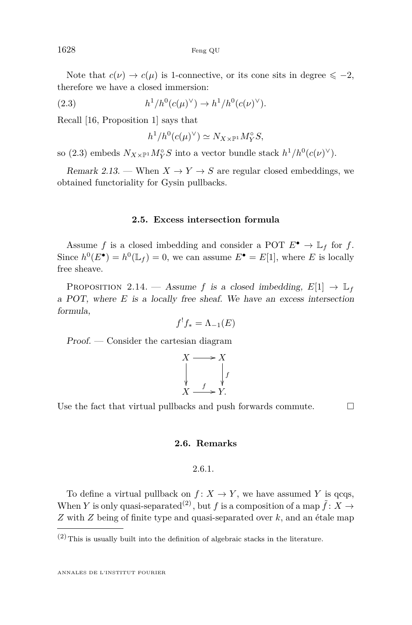Note that  $c(\nu) \to c(\mu)$  is 1-connective, or its cone sits in degree  $\leq -2$ , therefore we have a closed immersion:

(2.3) 
$$
h^1/h^0(c(\mu)^{\vee}) \to h^1/h^0(c(\nu)^{\vee}).
$$

Recall [\[16,](#page-32-2) Proposition 1] says that

<span id="page-20-0"></span>
$$
h^1/h^0(c(\mu)^{\vee}) \simeq N_{X \times \mathbb{P}^1} M_Y^{\circ} S,
$$

so [\(2.3\)](#page-20-0) embeds  $N_{X\times\mathbb{P}^1}M_Y^{\circ}S$  into a vector bundle stack  $h^1/h^0(c(\nu)^{\vee})$ .

Remark 2.13. — When  $X \to Y \to S$  are regular closed embeddings, we obtained functoriality for Gysin pullbacks.

#### **2.5. Excess intersection formula**

Assume *f* is a closed imbedding and consider a POT  $E^{\bullet} \to \mathbb{L}_f$  for *f*. Since  $h^0(E^{\bullet}) = h^0(\mathbb{L}_f) = 0$ , we can assume  $E^{\bullet} = E[1]$ , where *E* is locally free sheave.

<span id="page-20-1"></span>PROPOSITION 2.14. — Assume *f* is a closed imbedding,  $E[1] \rightarrow \mathbb{L}_f$ a POT, where *E* is a locally free sheaf. We have an excess intersection formula,

$$
f^!f_* = \Lambda_{-1}(E)
$$

Proof. — Consider the cartesian diagram

$$
X \longrightarrow X
$$
  
\n
$$
\downarrow \qquad \qquad \downarrow f
$$
  
\n
$$
X \longrightarrow Y.
$$

Use the fact that virtual pullbacks and push forwards commute.  $\Box$ 

#### **2.6. Remarks**

#### 2.6.1.

<span id="page-20-2"></span>To define a virtual pullback on  $f: X \to Y$ , we have assumed Y is qcqs, When *Y* is only quasi-separated<sup>(2)</sup>, but *f* is a composition of a map  $\tilde{f}: X \to Y$ *Z* with *Z* being of finite type and quasi-separated over *k*, and an étale map

 $(2)$  This is usually built into the definition of algebraic stacks in the literature.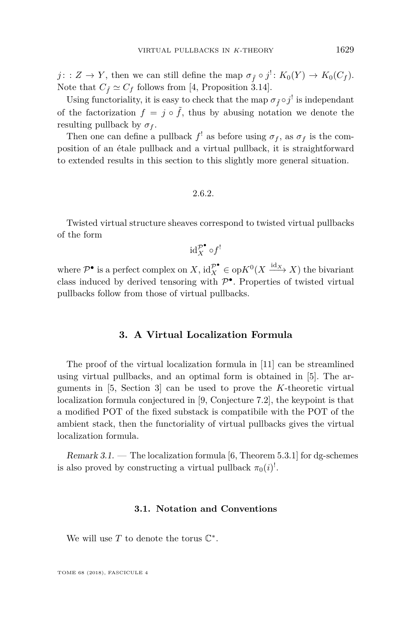$j: Z \to Y$ , then we can still define the map  $\sigma_{\tilde{f}} \circ j^! : K_0(Y) \to K_0(C_f)$ . Note that  $C_{\tilde{f}} \simeq C_f$  follows from [\[4,](#page-32-3) Proposition 3.14].

Using functoriality, it is easy to check that the map  $\sigma_{\tilde{f}} \circ j^!$  is independant of the factorization  $f = j \circ \tilde{f}$ , thus by abusing notation we denote the resulting pullback by  $\sigma_f$ .

Then one can define a pullback  $f'$  as before using  $\sigma_f$ , as  $\sigma_f$  is the composition of an étale pullback and a virtual pullback, it is straightforward to extended results in this section to this slightly more general situation.

2.6.2.

Twisted virtual structure sheaves correspond to twisted virtual pullbacks of the form

$$
\mathrm{id}_X^{\mathcal{P}^\bullet} \circ f^!
$$

where  $\mathcal{P}^{\bullet}$  is a perfect complex on *X*,  $\mathrm{id}_{X}^{\mathcal{P}^{\bullet}} \in \mathrm{op} K^{0}(X \xrightarrow{\mathrm{id}_{X}} X)$  the bivariant class induced by derived tensoring with  $\mathcal{P}^{\bullet}$ . Properties of twisted virtual pullbacks follow from those of virtual pullbacks.

#### **3. A Virtual Localization Formula**

<span id="page-21-0"></span>The proof of the virtual localization formula in [\[11\]](#page-32-9) can be streamlined using virtual pullbacks, and an optimal form is obtained in [\[5\]](#page-32-4). The arguments in [\[5,](#page-32-4) Section 3] can be used to prove the *K*-theoretic virtual localization formula conjectured in [\[9,](#page-32-10) Conjecture 7.2], the keypoint is that a modified POT of the fixed substack is compatibile with the POT of the ambient stack, then the functoriality of virtual pullbacks gives the virtual localization formula.

Remark 3.1. — The localization formula [\[6,](#page-32-11) Theorem 5.3.1] for dg-schemes is also proved by constructing a virtual pullback  $\pi_0(i)$ <sup>!</sup>.

#### **3.1. Notation and Conventions**

We will use  $T$  to denote the torus  $\mathbb{C}^*$ .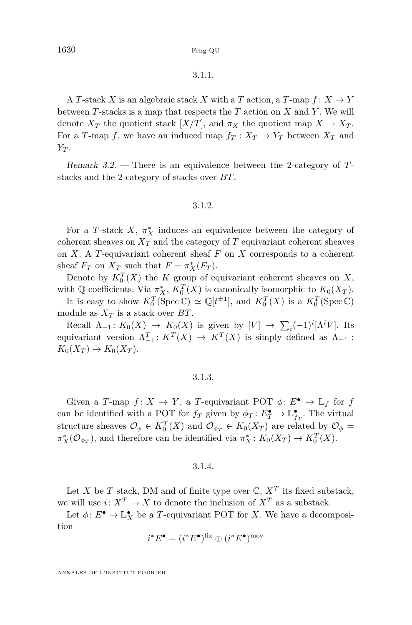1630 Feng QU

#### 3.1.1.

A *T*-stack *X* is an algebraic stack *X* with a *T* action, a *T*-map  $f: X \to Y$ between *T*-stacks is a map that respects the *T* action on *X* and *Y* . We will denote  $X_T$  the quotient stack  $[X/T]$ , and  $\pi_X$  the quotient map  $X \to X_T$ . For a *T*-map *f*, we have an induced map  $f_T: X_T \to Y_T$  between  $X_T$  and *Y<sup>T</sup>* .

Remark 3.2. — There is an equivalence between the 2-category of *T*stacks and the 2-category of stacks over *BT*.

#### 3.1.2.

For a *T*-stack *X*,  $\pi_X^*$  induces an equivalence between the category of coherent sheaves on  $X_T$  and the category of  $T$  equivariant coherent sheaves on *X*. A *T*-equivariant coherent sheaf *F* on *X* corresponds to a coherent sheaf  $F_T$  on  $X_T$  such that  $F = \pi_X^*(F_T)$ .

Denote by  $K_0^T(X)$  the *K* group of equivariant coherent sheaves on *X*, with Q coefficients. Via  $\pi_X^*$ ,  $K_0^T(X)$  is canonically isomorphic to  $K_0(X_T)$ .

It is easy to show  $K_0^T$ (Spec C)  $\simeq \mathbb{Q}[t^{\pm 1}]$ , and  $K_0^T(X)$  is a  $K_0^T$ (Spec C) module as  $X_T$  is a stack over  $BT$ .

Recall  $\Lambda_{-1} : K_0(X) \to K_0(X)$  is given by  $[V] \to \sum_i (-1)^i [\Lambda^i V]$ . Its equivariant version  $\Lambda_{-1}^T: K^T(X) \to K^T(X)$  is simply defined as  $\Lambda_{-1}$ :  $K_0(X_T) \to K_0(X_T)$ .

#### 3.1.3.

Given a *T*-map  $f: X \to Y$ , a *T*-equivariant POT  $\phi: E^{\bullet} \to \mathbb{L}_f$  for *f* can be identified with a POT for  $f_T$  given by  $\phi_T: E_T^{\bullet} \to \mathbb{L}_{f_T}^{\bullet}$ . The virtual structure sheaves  $\mathcal{O}_{\phi} \in K_0^T(X)$  and  $\mathcal{O}_{\phi_T} \in K_0(X_T)$  are related by  $\mathcal{O}_{\phi} =$  $\pi_X^*({\mathcal O}_{\phi_T})$ , and therefore can be identified via  $\pi_X^*: K_0(X_T) \to K_0^T(X)$ .

#### 3.1.4.

Let *X* be *T* stack, DM and of finite type over  $\mathbb{C}$ ,  $X^T$  its fixed substack, we will use  $i: X^T \to X$  to denote the inclusion of  $X^T$  as a substack.

Let  $\phi: E^{\bullet} \to \mathbb{L}^{\bullet}_X$  be a *T*-equivariant POT for *X*. We have a decomposition

$$
i^*E^{\bullet} = (i^*E^{\bullet})^{\text{fix}} \oplus (i^*E^{\bullet})^{\text{mov}}
$$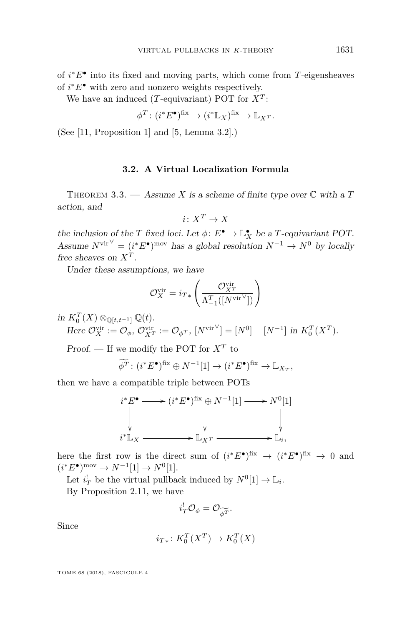of *i* <sup>∗</sup>*E*• into its fixed and moving parts, which come from *T*-eigensheaves of  $i^*E^{\bullet}$  with zero and nonzero weights respectively.

We have an induced (*T*-equivariant) POT for *X<sup>T</sup>* :

$$
\phi^T \colon (i^* E^{\bullet})^{\text{fix}} \to (i^* \mathbb{L}_X)^{\text{fix}} \to \mathbb{L}_X^T.
$$

(See [\[11,](#page-32-9) Proposition 1] and [\[5,](#page-32-4) Lemma 3.2].)

#### **3.2. A Virtual Localization Formula**

THEOREM 3.3. — Assume *X* is a scheme of finite type over  $\mathbb C$  with a *T* action, and

$$
i\colon X^T\to X
$$

the inclusion of the *T* fixed loci. Let  $\phi: E^{\bullet} \to \mathbb{L}_X^{\bullet}$  be a *T*-equivariant POT. Assume  $N^{\text{vir}} = (i^*E^{\bullet})^{\text{mov}}$  has a global resolution  $N^{-1} \rightarrow N^0$  by locally free sheaves on *X<sup>T</sup>* .

Under these assumptions, we have

$$
\mathcal{O}_X^{\text{vir}} = i_{T*} \left( \frac{\mathcal{O}_{X^T}^{\text{vir}}}{\Lambda^T_{-1}([N^{\text{vir}}])} \right)
$$

*in*  $K_0^T(X) \otimes_{\mathbb{Q}[t,t^{-1}]} \mathbb{Q}(t)$ .

Here 
$$
\mathcal{O}_X^{\text{vir}} := \mathcal{O}_{\phi}, \mathcal{O}_{X^T}^{\text{vir}} := \mathcal{O}_{\phi^T}, [N^{\text{vir}}] = [N^0] - [N^{-1}] \text{ in } K_0^T(X^T).
$$

Proof. — If we modify the POT for *X<sup>T</sup>* to

$$
\widetilde{\phi^T} \colon (i^*E^{\bullet})^{\text{fix}} \oplus N^{-1}[1] \to (i^*E^{\bullet})^{\text{fix}} \to \mathbb{L}_{X_T},
$$

then we have a compatible triple between POTs

$$
i^* E^{\bullet} \longrightarrow (i^* E^{\bullet})^{\text{fix}} \oplus N^{-1}[1] \longrightarrow N^0[1]
$$
  
\n
$$
\downarrow \qquad \qquad \downarrow \qquad \qquad \downarrow
$$
  
\n
$$
i^* \mathbb{L}_X \longrightarrow \mathbb{L}_{X^T} \longrightarrow \mathbb{L}_i,
$$

here the first row is the direct sum of  $(i^*E^{\bullet})^{\text{fix}} \to (i^*E^{\bullet})^{\text{fix}} \to 0$  and  $(i^*E^{\bullet})^{\text{mov}} \to N^{-1}[1] \to N^0[1].$ 

Let  $i_T^!$  be the virtual pullback induced by  $N^0[1] \to \mathbb{L}_i$ .

By Proposition [2.11,](#page-16-0) we have

$$
i_T^! \mathcal{O}_{\phi} = \mathcal{O}_{\widetilde{\phi^T}}.
$$

Since

$$
i_{T*} \colon K_0^T(X^T) \to K_0^T(X)
$$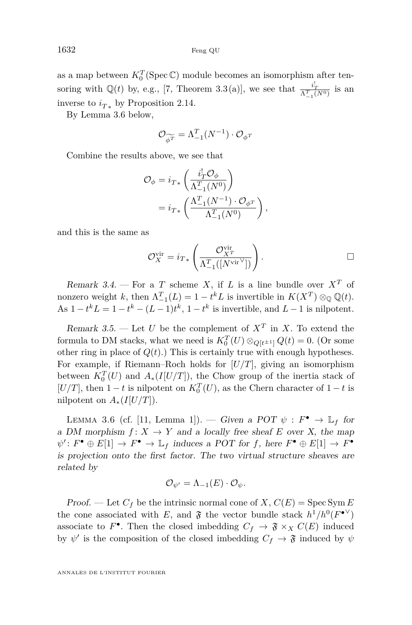as a map between  $K_0^T$ (Spec  $\mathbb{C}$ ) module becomes an isomorphism after tensoring with  $\mathbb{Q}(t)$  by, e.g., [\[7,](#page-32-12) Theorem 3.3(a)], we see that  $\frac{i_T^1}{\Lambda_{-1}^T(N^0)}$  is an inverse to  $i_{T*}$  by Proposition [2.14.](#page-20-1)

By Lemma [3.6](#page-24-0) below,

$$
\mathcal{O}_{\widetilde{\phi^T}} = \Lambda_{-1}^T (N^{-1}) \cdot \mathcal{O}_{\phi^T}
$$

Combine the results above, we see that

$$
\mathcal{O}_{\phi} = i_{T*} \left( \frac{i_T^! \mathcal{O}_{\phi}}{\Lambda_{-1}^T (N^0)} \right)
$$
  
=  $i_{T*} \left( \frac{\Lambda_{-1}^T (N^{-1}) \cdot \mathcal{O}_{\phi^T}}{\Lambda_{-1}^T (N^0)} \right),$ 

and this is the same as

$$
\mathcal{O}_X^{\text{vir}} = i_{T*} \left( \frac{\mathcal{O}_{X^T}^{\text{vir}}}{\Lambda_{-1}^T([N^{\text{vir}}])} \right). \qquad \qquad \Box
$$

Remark 3.4. – For a *T* scheme *X*, if *L* is a line bundle over  $X^T$  of nonzero weight *k*, then  $\Lambda_{-1}^T(L) = 1 - t^k L$  is invertible in  $K(X^T) \otimes_{\mathbb{Q}} \mathbb{Q}(t)$ . As  $1 - t^k L = 1 - t^k - (L - 1)t^k$ ,  $1 - t^k$  is invertible, and  $L - 1$  is nilpotent.

Remark 3.5. — Let *U* be the complement of  $X^T$  in *X*. To extend the formula to DM stacks, what we need is  $K_0^T(U) \otimes_{Q[t^{\pm 1}]} Q(t) = 0$ . (Or some other ring in place of  $Q(t)$ .) This is certainly true with enough hypotheses. For example, if Riemann–Roch holds for [*U/T*], giving an isomorphism between  $K_0^T(U)$  and  $A_*(I[U/T])$ , the Chow group of the inertia stack of  $[U/T]$ , then  $1-t$  is nilpotent on  $K_0^T(U)$ , as the Chern character of  $1-t$  is nilpotent on  $A_*(I[U/T])$ .

<span id="page-24-0"></span>LEMMA 3.6 (cf. [\[11,](#page-32-9) Lemma 1]). — Given a POT  $\psi : F^{\bullet} \to \mathbb{L}_f$  for a DM morphism  $f: X \to Y$  and a locally free sheaf E over X, the map  $\psi': F^{\bullet} \oplus E[1] \to F^{\bullet} \to \mathbb{L}_f$  induces a POT for *f*, here  $F^{\bullet} \oplus E[1] \to F^{\bullet}$ is projection onto the first factor. The two virtual structure sheaves are related by

$$
\mathcal{O}_{\psi'} = \Lambda_{-1}(E) \cdot \mathcal{O}_{\psi}.
$$

Proof. — Let  $C_f$  be the intrinsic normal cone of  $X$ ,  $C(E) = \text{Spec Sym } E$ the cone associated with *E*, and  $\mathfrak{F}$  the vector bundle stack  $h^1/h^0(F^{\bullet \vee})$ associate to  $F^{\bullet}$ . Then the closed imbedding  $C_f \rightarrow \mathfrak{F} \times_X C(E)$  induced by  $\psi'$  is the composition of the closed imbedding  $C_f \to \mathfrak{F}$  induced by  $\psi$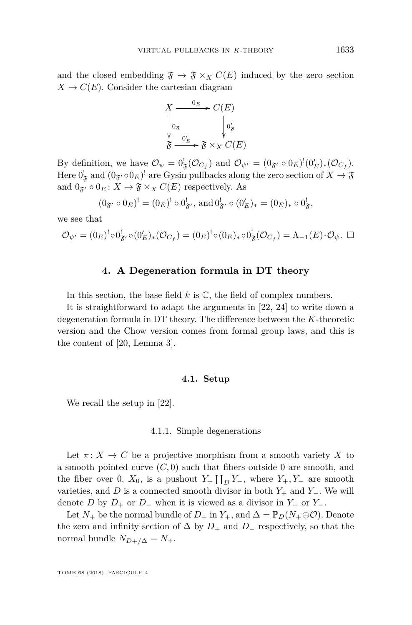and the closed embedding  $\mathfrak{F} \to \mathfrak{F} \times_X C(E)$  induced by the zero section  $X \to C(E)$ . Consider the cartesian diagram



By definition, we have  $\mathcal{O}_{\psi} = 0^!_{\mathfrak{F}}(\mathcal{O}_{C_f})$  and  $\mathcal{O}_{\psi'} = (0_{\mathfrak{F}'} \circ 0_E)^! (0'_E)_* (\mathcal{O}_{C_f})$ . Here  $0^!_{\mathfrak{F}}$  and  $(0_{\mathfrak{F}'} \circ 0_E)^!$  are Gysin pullbacks along the zero section of  $X \to \mathfrak{F}$ and  $0_{\mathfrak{F}'} \circ 0_E \colon X \to \mathfrak{F} \times_X C(E)$  respectively. As

$$
(0_{\mathfrak{F}'} \circ 0_E)^! = (0_E)^! \circ 0_{\mathfrak{F}'}^!
$$
, and  $0_{\mathfrak{F}'}^! \circ (0_E')_* = (0_E)_* \circ 0_{\mathfrak{F}}^!$ ,

we see that

$$
\mathcal{O}_{\psi'} = (0_E)^! \circ 0^!_{\mathfrak{F}'} \circ (0'_E)_* (\mathcal{O}_{C_f}) = (0_E)^! \circ (0_E)_* \circ 0^!_{\mathfrak{F}} (\mathcal{O}_{C_f}) = \Lambda_{-1}(E) \cdot \mathcal{O}_{\psi}. \quad \Box
$$

#### **4. A Degeneration formula in DT theory**

<span id="page-25-0"></span>In this section, the base field  $k$  is  $\mathbb{C}$ , the field of complex numbers.

It is straightforward to adapt the arguments in [\[22,](#page-33-4) [24\]](#page-33-5) to write down a degeneration formula in DT theory. The difference between the *K*-theoretic version and the Chow version comes from formal group laws, and this is the content of [\[20,](#page-33-12) Lemma 3].

#### **4.1. Setup**

We recall the setup in [\[22\]](#page-33-4).

#### 4.1.1. Simple degenerations

Let  $\pi: X \to C$  be a projective morphism from a smooth variety X to a smooth pointed curve  $(C, 0)$  such that fibers outside 0 are smooth, and the fiber over 0,  $X_0$ , is a pushout  $Y_+ \coprod_D Y_-,$  where  $Y_+, Y_-$  are smooth varieties, and *D* is a connected smooth divisor in both *Y*<sup>+</sup> and *Y*−. We will denote *D* by  $D_+$  or  $D_-$  when it is viewed as a divisor in  $Y_+$  or  $Y_-$ .

Let  $N_+$  be the normal bundle of  $D_+$  in  $Y_+$ , and  $\Delta = \mathbb{P}_D(N_+ \oplus \mathcal{O})$ . Denote the zero and infinity section of  $\Delta$  by  $D_+$  and  $D_-$  respectively, so that the normal bundle  $N_{D+/\Delta} = N_+$ .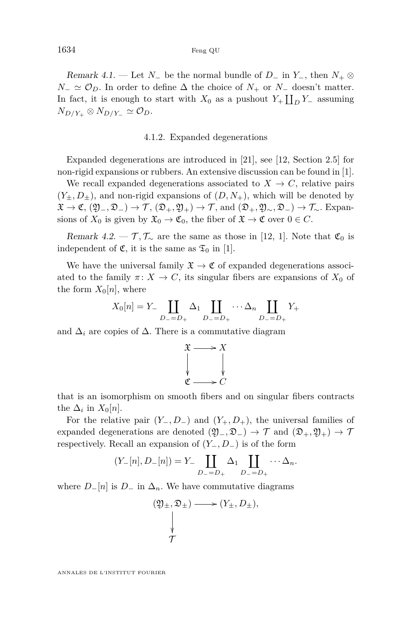#### 1634 Feng QU

Remark 4.1. — Let *N*<sub>−</sub> be the normal bundle of *D*<sub>−</sub> in *Y*<sub>−</sub>, then  $N_+ \otimes$  $N_-\simeq\mathcal{O}_D$ . In order to define  $\Delta$  the choice of  $N_+$  or  $N_-$  doesn't matter. In fact, it is enough to start with  $X_0$  as a pushout  $Y_+ \coprod_D Y_-$  assuming  $N_{D/Y_+} \otimes N_{D/Y_-} \simeq \mathcal{O}_D.$ 

#### 4.1.2. Expanded degenerations

Expanded degenerations are introduced in [\[21\]](#page-33-13), see [\[12,](#page-32-13) Section 2.5] for non-rigid expansions or rubbers. An extensive discussion can be found in [\[1\]](#page-32-14).

We recall expanded degenerations associated to  $X \to C$ , relative pairs  $(Y_{\pm}, D_{\pm})$ , and non-rigid expansions of  $(D, N_{+})$ , which will be denoted by  $\mathfrak{X} \to \mathfrak{C}, (\mathfrak{Y}_-, \mathfrak{D}_-) \to \mathcal{T}, (\mathfrak{D}_+, \mathfrak{Y}_+) \to \mathcal{T}, \text{ and } (\mathfrak{D}_+, \mathfrak{Y}_\sim, \mathfrak{D}_-) \to \mathcal{T}_\sim.$  Expansions of  $X_0$  is given by  $\mathfrak{X}_0 \to \mathfrak{C}_0$ , the fiber of  $\mathfrak{X} \to \mathfrak{C}$  over  $0 \in C$ .

Remark 4.2. —  $\mathcal{T}, \mathcal{T}_{\sim}$  are the same as those in [\[12,](#page-32-13) [1\]](#page-32-14). Note that  $\mathfrak{C}_0$  is independent of  $\mathfrak{C}$ , it is the same as  $\mathfrak{T}_0$  in [\[1\]](#page-32-14).

We have the universal family  $\mathfrak{X} \to \mathfrak{C}$  of expanded degenerations associated to the family  $\pi: X \to C$ , its singular fibers are expansions of  $X_0$  of the form  $X_0[n]$ , where

$$
X_0[n] = Y_- \coprod_{D_-=D_+} \Delta_1 \coprod_{D_-=D_+} \cdots \Delta_n \coprod_{D_-=D_+} Y_+
$$

and  $\Delta_i$  are copies of  $\Delta$ . There is a commutative diagram



that is an isomorphism on smooth fibers and on singular fibers contracts the  $\Delta_i$  in  $X_0[n]$ .

For the relative pair  $(Y_-, D_-)$  and  $(Y_+, D_+)$ , the universal families of expanded degenerations are denoted  $(\mathfrak{Y}_-,\mathfrak{D}_-) \to \mathcal{T}$  and  $(\mathfrak{D}_+,\mathfrak{Y}_+) \to \mathcal{T}$ respectively. Recall an expansion of (*Y*−*, D*−) is of the form

$$
(Y-[n], D-[n]) = Y_- \coprod_{D_-=D_+} \Delta_1 \coprod_{D_-=D_+} \cdots \Delta_n.
$$

where  $D_{-}[n]$  is  $D_{-}$  in  $\Delta_n$ . We have commutative diagrams

$$
(\mathfrak{Y}_{\pm}, \mathfrak{D}_{\pm}) \longrightarrow (Y_{\pm}, D_{\pm}),
$$
  

$$
\downarrow
$$
  

$$
\mathcal{T}
$$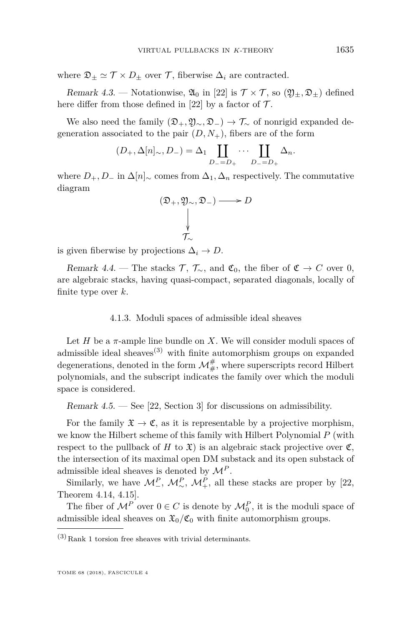where  $\mathfrak{D}_\pm \simeq \mathcal{T} \times D_\pm$  over  $\mathcal{T}$ , fiberwise  $\Delta_i$  are contracted.

Remark 4.3. — Notationwise,  $\mathfrak{A}_0$  in [\[22\]](#page-33-4) is  $\mathcal{T} \times \mathcal{T}$ , so  $(\mathfrak{Y}_\pm, \mathfrak{D}_\pm)$  defined here differ from those defined in [\[22\]](#page-33-4) by a factor of  $\mathcal{T}$ .

We also need the family  $(\mathfrak{D}_+,\mathfrak{Y}_\sim,\mathfrak{D}_-) \to \mathcal{T}_\sim$  of nonrigid expanded degeneration associated to the pair  $(D, N_+)$ , fibers are of the form

$$
(D_+, \Delta[n]_\sim, D_-) = \Delta_1 \coprod_{D_-=D_+} \cdots \coprod_{D_-=D_+} \Delta_n.
$$

where  $D_+$ ,  $D_-$  in  $\Delta[n]_{\sim}$  comes from  $\Delta_1$ ,  $\Delta_n$  respectively. The commutative diagram

$$
(\mathfrak{D}_{+}, \mathfrak{Y}_{\sim}, \mathfrak{D}_{-}) \longrightarrow D
$$
  

$$
\downarrow
$$
  

$$
\mathcal{T}_{\sim}
$$

is given fiberwise by projections  $\Delta_i \to D$ .

Remark 4.4. — The stacks  $\mathcal{T}, \mathcal{T}_{\sim}$ , and  $\mathfrak{C}_0$ , the fiber of  $\mathfrak{C} \to C$  over 0, are algebraic stacks, having quasi-compact, separated diagonals, locally of finite type over *k*.

#### 4.1.3. Moduli spaces of admissible ideal sheaves

Let  $H$  be a  $\pi$ -ample line bundle on  $X$ . We will consider moduli spaces of admissible ideal sheaves<sup> $(3)$ </sup> with finite automorphism groups on expanded degenerations, denoted in the form  $\mathcal{M}^{\#}_{\#}$ , where superscripts record Hilbert polynomials, and the subscript indicates the family over which the moduli space is considered.

Remark  $4.5.$  — See [\[22,](#page-33-4) Section 3] for discussions on admissibility.

For the family  $\mathfrak{X} \to \mathfrak{C}$ , as it is representable by a projective morphism, we know the Hilbert scheme of this family with Hilbert Polynomial *P* (with respect to the pullback of *H* to  $\mathfrak{X}$ ) is an algebraic stack projective over  $\mathfrak{C}$ , the intersection of its maximal open DM substack and its open substack of admissible ideal sheaves is denoted by  $\mathcal{M}^P$ .

Similarly, we have  $\mathcal{M}_{-}^P$ ,  $\mathcal{M}_{\sim}^P$ ,  $\mathcal{M}_{+}^P$ , all these stacks are proper by [\[22,](#page-33-4) Theorem 4.14, 4.15].

The fiber of  $\mathcal{M}^P$  over  $0 \in C$  is denote by  $\mathcal{M}_0^P$ , it is the moduli space of admissible ideal sheaves on  $\mathfrak{X}_0/\mathfrak{C}_0$  with finite automorphism groups.

 $(3)$  Rank 1 torsion free sheaves with trivial determinants.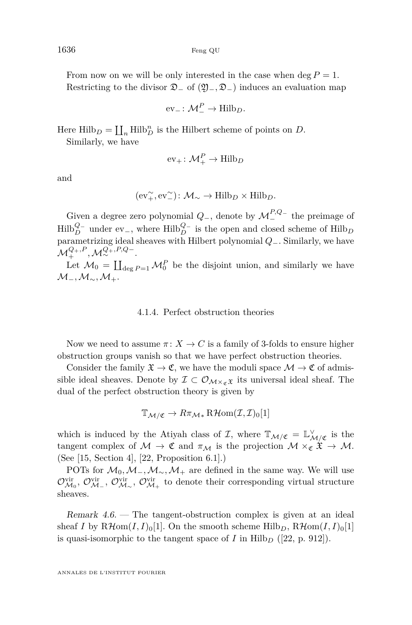From now on we will be only interested in the case when  $\deg P = 1$ . Restricting to the divisor D<sup>−</sup> of (Y−*,* D−) induces an evaluation map

$$
\mathrm{ev}_{-} \colon \mathcal{M}_{-}^{P} \to \mathrm{Hilb}_{D}.
$$

Here  $\text{Hilb}_D = \coprod_n \text{Hilb}_D^n$  is the Hilbert scheme of points on *D*.

Similarly, we have

$$
ev_+ \colon \mathcal{M}_+^P \to \text{Hilb}_D
$$

and

$$
(\operatorname{ev}^{\sim}_+,\operatorname{ev}^{\sim}_-)\colon \mathcal{M}_\sim\to \operatorname{Hilb}_D\times \operatorname{Hilb}_D.
$$

Given a degree zero polynomial  $Q_$ , denote by  $\mathcal{M}^{P,Q-}_-$  the preimage of  $\text{Hilb}_{D}^{Q-}$  under ev<sub>−</sub>, where  $\text{Hilb}_{D}^{Q-}$  is the open and closed scheme of  $\text{Hilb}_{D}$ parametrizing ideal sheaves with Hilbert polynomial *Q*−. Similarly, we have  $\mathcal{M}^{Q_+,P}_+, \mathcal{M}^{Q_+,P,Q_-}_\infty.$ 

Let  $\mathcal{M}_0 = \coprod_{\deg P=1} \mathcal{M}_0^P$  be the disjoint union, and similarly we have M−*,*M∼*,*M+.

#### 4.1.4. Perfect obstruction theories

Now we need to assume  $\pi: X \to C$  is a family of 3-folds to ensure higher obstruction groups vanish so that we have perfect obstruction theories.

Consider the family  $\mathfrak{X} \to \mathfrak{C}$ , we have the moduli space  $\mathcal{M} \to \mathfrak{C}$  of admissible ideal sheaves. Denote by  $\mathcal{I} \subset \mathcal{O}_{\mathcal{M}\times_{\mathfrak{C}}\mathfrak{X}}$  its universal ideal sheaf. The dual of the perfect obstruction theory is given by

$$
\mathbb{T}_{\mathcal{M}/\mathfrak{C}} \to R\pi_{\mathcal{M}*}R\mathcal{H}om(\mathcal{I},\mathcal{I})_0[1]
$$

which is induced by the Atiyah class of  $\mathcal{I}$ , where  $\mathbb{T}_{\mathcal{M}/\mathfrak{C}} = \mathbb{L}^{\vee}_{\mathcal{M}/\mathfrak{C}}$  is the tangent complex of  $M \to \mathfrak{C}$  and  $\pi_M$  is the projection  $M \times_{\mathfrak{C}} \mathfrak{X} \to M$ . (See [\[15,](#page-32-15) Section 4], [\[22,](#page-33-4) Proposition 6.1].)

POTs for  $\mathcal{M}_0, \mathcal{M}_-, \mathcal{M}_\sim, \mathcal{M}_+$  are defined in the same way. We will use  $\mathcal{O}_{\mathcal{M}_0}^{vir}$ ,  $\mathcal{O}_{\mathcal{M}_\sim}^{vir}$ ,  $\mathcal{O}_{\mathcal{M}_+}^{vir}$  to denote their corresponding virtual structure sheaves.

Remark 4.6. — The tangent-obstruction complex is given at an ideal sheaf *I* by  $R\mathcal{H}om(I, I)_0[1]$ . On the smooth scheme Hilb<sub>*D*</sub>,  $R\mathcal{H}om(I, I)_0[1]$ is quasi-isomorphic to the tangent space of  $I$  in  $Hilb<sub>D</sub>$  ([\[22,](#page-33-4) p. 912]).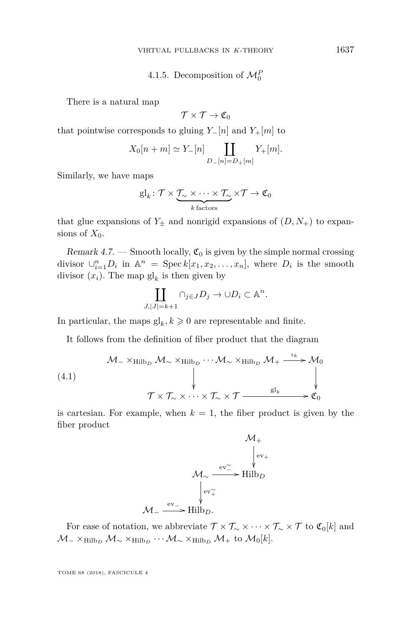4.1.5. Decomposition of  $\mathcal{M}_0^F$ 

There is a natural map

$$
\mathcal{T}\times\mathcal{T}\to\mathfrak{C}_0
$$

that pointwise corresponds to gluing  $Y-[n]$  and  $Y+[m]$  to

$$
X_0[n+m] \simeq Y_{-}[n] \coprod_{D_{-}[n]=D_{+}[m]} Y_{+}[m].
$$

Similarly, we have maps

$$
\mathrm{gl}_k\colon \mathcal{T}\times\underbrace{\mathcal{T}_\sim\times\cdots\times\mathcal{T}_\sim}_{k\text{ factors}}\times\mathcal{T}\to\mathfrak{C}_0
$$

that glue expansions of  $Y_{\pm}$  and nonrigid expansions of  $(D, N_{+})$  to expansions of  $X_0$ .

Remark 4.7. — Smooth locally,  $\mathfrak{C}_0$  is given by the simple normal crossing divisor  $\bigcup_{i=1}^{n} D_i$  in  $\mathbb{A}^n = \text{Spec } k[x_1, x_2, \ldots, x_n]$ , where  $D_i$  is the smooth divisor  $(x_i)$ . The map  $\mathrm{gl}_k$  is then given by

$$
\coprod_{J,|J|=k+1} \cap_{j\in J} D_j \to \cup D_i \subset \mathbb{A}^n.
$$

In particular, the maps  $\mathrm{gl}_k, k \geqslant 0$  are representable and finite.

It follows from the definition of fiber product that the diagram

(4.1)  
\n
$$
\mathcal{M}_{-} \times_{\text{Hilb}_{D}} \mathcal{M}_{\sim} \times_{\text{Hilb}_{D}} \cdots \mathcal{M}_{\sim} \times_{\text{Hilb}_{D}} \mathcal{M}_{+} \xrightarrow{\iota_{k}} \mathcal{M}_{0}
$$
\n
$$
\uparrow \qquad \qquad \downarrow \qquad \qquad \downarrow
$$
\n
$$
\mathcal{T} \times \mathcal{T}_{\sim} \times \cdots \times \mathcal{T}_{\sim} \times \mathcal{T} \xrightarrow{\text{gl}_{k}} \mathfrak{C}_{0}
$$

is cartesian. For example, when  $k = 1$ , the fiber product is given by the fiber product

$$
M_{+}
$$
\n
$$
M_{\sim} \xrightarrow{\text{ev}_{-}^{\sim}} \text{Hilb}_{D}
$$
\n
$$
\downarrow \text{ev}_{+}
$$
\n
$$
M_{-} \xrightarrow{\text{ev}_{+}} \text{Hilb}_{D}.
$$

For ease of notation, we abbreviate  $\mathcal{T} \times \mathcal{T}_{\sim} \times \cdots \times \mathcal{T}_{\sim} \times \mathcal{T}$  to  $\mathfrak{C}_0[k]$  and  $\mathcal{M}_-\times_{\text{Hilb}_D}\mathcal{M}_\sim\times_{\text{Hilb}_D}\cdots\mathcal{M}_\sim\times_{\text{Hilb}_D}\mathcal{M}_+$  to  $\mathcal{M}_0[k].$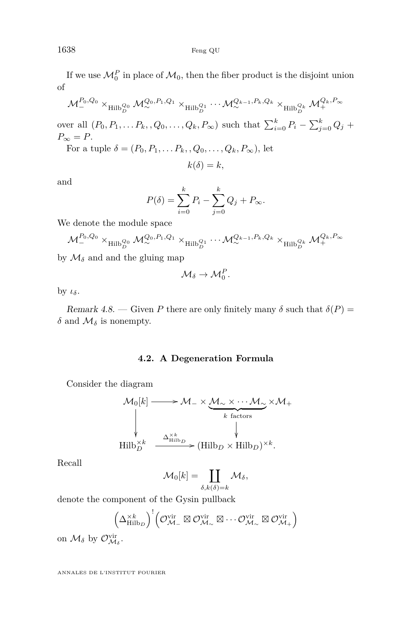If we use  $\mathcal{M}_0^P$  in place of  $\mathcal{M}_0$ , then the fiber product is the disjoint union of

 $\mathcal{M}^{P_0,Q_0}_-\times_{\mathrm{Hilb}^{Q_0}_D}\mathcal{M}^{Q_0,P_1,Q_1}_\infty\times_{\mathrm{Hilb}^{Q_1}_D}\cdots\mathcal{M}^{Q_{k-1},P_k,Q_k}_\infty\times_{\mathrm{Hilb}^{Q_k}_D}\mathcal{M}^{Q_k,P_\infty}_+$ 

over all  $(P_0, P_1, \ldots, P_k, Q_0, \ldots, Q_k, P_\infty)$  such that  $\sum_{i=0}^k P_i - \sum_{j=0}^k Q_j$  +  $P_{\infty} = P$ .

For a tuple  $\delta = (P_0, P_1, \ldots, P_k, Q_0, \ldots, Q_k, P_\infty)$ , let

$$
k(\delta)=k,
$$

and

$$
P(\delta) = \sum_{i=0}^{k} P_i - \sum_{j=0}^{k} Q_j + P_{\infty}.
$$

We denote the module space

$$
\mathcal{M}^{P_0,Q_0}_-\times_{\mathop{\rm Hilb}\nolimits_D^{Q_0}}\mathcal{M}^{Q_0,P_1,Q_1}_\infty\times_{\mathop{\rm Hilb}\nolimits_D^{Q_1}}\cdots \mathcal{M}^{Q_{k-1},P_k,Q_k}_\infty\times_{\mathop{\rm Hilb}\nolimits_D^{Q_k}} \mathcal{M}^{Q_k,P_\infty}_+
$$

by  $\mathcal{M}_{\delta}$  and and the gluing map

$$
\mathcal{M}_{\delta}\to \mathcal{M}_0^P.
$$

by *ιδ*.

Remark 4.8. — Given P there are only finitely many  $\delta$  such that  $\delta(P)$  = *δ* and  $\mathcal{M}_δ$  is nonempty.

#### **4.2. A Degeneration Formula**

Consider the diagram

$$
\mathcal{M}_0[k] \longrightarrow \mathcal{M}_- \times \underbrace{\mathcal{M}_\sim \times \cdots \mathcal{M}_\sim}_{k \text{ factors}} \times \mathcal{M}_+
$$
\n
$$
\downarrow \qquad \downarrow \qquad \downarrow \qquad \downarrow
$$
\nHilb<sub>D</sub><sup>×k</sup> \longrightarrow (Hilb<sub>D</sub> × Hilb<sub>D</sub>)<sup>×k</sup>.

Recall

$$
\mathcal{M}_0[k] = \coprod_{\delta,k(\delta)=k} \mathcal{M}_{\delta},
$$

denote the component of the Gysin pullback

$$
\left(\Delta^{\times k}_{\mathrm{Hilb}_D}\right)^!\left(\mathcal{O}_{\mathcal{M}_-}^{\mathrm{vir}}\boxtimes\mathcal{O}_{\mathcal{M}_\sim}^{\mathrm{vir}}\boxtimes\cdots\mathcal{O}_{\mathcal{M}_\sim}^{\mathrm{vir}}\boxtimes\mathcal{O}_{\mathcal{M}_+}^{\mathrm{vir}}\right)
$$

on  $\mathcal{M}_{\delta}$  by  $\mathcal{O}_{\mathcal{M}_{\delta}}^{\text{vir}}$ .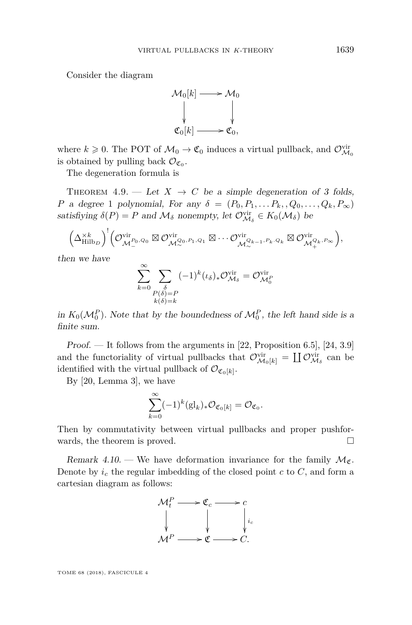Consider the diagram



where  $k \geq 0$ . The POT of  $\mathcal{M}_0 \to \mathfrak{C}_0$  induces a virtual pullback, and  $\mathcal{O}_{\mathcal{M}_0}^{\text{vir}}$ is obtained by pulling back  $\mathcal{O}_{\mathfrak{C}_0}$ .

The degeneration formula is

THEOREM 4.9. — Let  $X \rightarrow C$  be a simple degeneration of 3 folds, *P* a degree 1 polynomial, For any  $\delta = (P_0, P_1, \ldots, P_k, Q_0, \ldots, Q_k, P_\infty)$ satisfiying  $\delta(P) = P$  and  $\mathcal{M}_{\delta}$  nonempty, let  $\mathcal{O}_{\mathcal{M}_{\delta}}^{vir} \in K_0(\mathcal{M}_{\delta})$  be

$$
\left(\Delta_{\mathrm{Hilb}_{D}}^{\times k}\right)^{!}\left(\mathcal{O}_{\mathcal{M}_{-}^{P_{0},Q_{0}}}^{\mathrm{vir}}\boxtimes\mathcal{O}_{\mathcal{M}_{\infty}^{Q_{0},P_{1},Q_{1}}}^{\mathrm{vir}}\boxtimes\cdots\mathcal{O}_{\mathcal{M}_{\infty}^{Q_{k-1},P_{k},Q_{k}}}^{\mathrm{vir}}\boxtimes\mathcal{O}_{\mathcal{M}_{+}^{Q_{k},P_{\infty}}}^{\mathrm{vir}}\right),
$$

then we have

$$
\sum_{k=0}^{\infty} \sum_{\substack{\delta \\ P(\delta)=P \\ k(\delta)=k}} (-1)^k (\iota_{\delta})_* \mathcal{O}_{\mathcal{M}_{\delta}}^{\text{vir}} = \mathcal{O}_{\mathcal{M}_0^F}^{\text{vir}}
$$

in  $K_0(\mathcal{M}_0^P)$ . Note that by the boundedness of  $\mathcal{M}_0^P$ , the left hand side is a finite sum.

Proof. — It follows from the arguments in [\[22,](#page-33-4) Proposition 6.5], [\[24,](#page-33-5) 3.9] and the functoriality of virtual pullbacks that  $\mathcal{O}_{\mathcal{M}_0[k]}^{\text{vir}} = \coprod \mathcal{O}_{\mathcal{M}_\delta}^{\text{vir}}$  can be identified with the virtual pullback of  $\mathcal{O}_{\mathfrak{C}_0[k]}$ .

By [\[20,](#page-33-12) Lemma 3], we have

$$
\sum_{k=0}^{\infty}(-1)^k(\mathrm{gl}_k)_*\mathcal{O}_{\mathfrak{C}_0[k]}=\mathcal{O}_{\mathfrak{C}_0}.
$$

Then by commutativity between virtual pullbacks and proper pushforwards, the theorem is proved.

Remark 4.10. — We have deformation invariance for the family  $\mathcal{M}_{\mathfrak{C}}$ . Denote by  $i_c$  the regular imbedding of the closed point  $c$  to  $C$ , and form a cartesian diagram as follows:

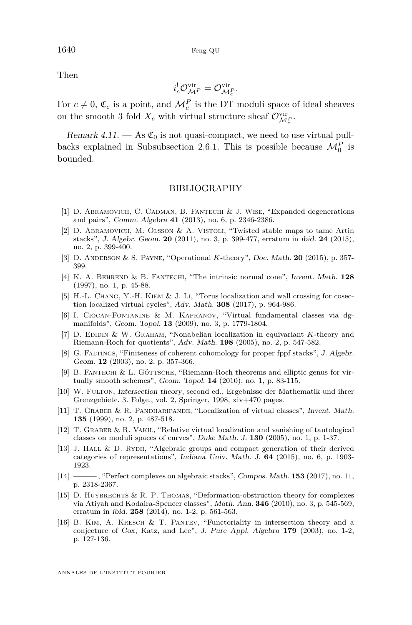Then

$$
i_c^! \mathcal{O}_{\mathcal{M}^P}^{\text{vir}} = \mathcal{O}_{\mathcal{M}_c^P}^{\text{vir}}.
$$

For  $c \neq 0$ ,  $\mathfrak{C}_c$  is a point, and  $\mathcal{M}_c^P$  is the DT moduli space of ideal sheaves on the smooth 3 fold  $X_c$  with virtual structure sheaf  $\mathcal{O}_{\mathcal{M}_c^P}^{\text{vir}}$ .

Remark 4.11.  $-$  As  $\mathfrak{C}_0$  is not quasi-compact, we need to use virtual pull-backs explained in Subsubsection [2.6.1.](#page-20-2) This is possible because  $\mathcal{M}_0^P$  is bounded.

#### BIBLIOGRAPHY

- <span id="page-32-14"></span>[1] D. ABRAMOVICH, C. CADMAN, B. FANTECHI & J. WISE, "Expanded degenerations and pairs", Comm. Algebra **41** (2013), no. 6, p. 2346-2386.
- <span id="page-32-8"></span>[2] D. Abramovich, M. Olsson & A. Vistoli, "Twisted stable maps to tame Artin stacks", J. Algebr. Geom. **20** (2011), no. 3, p. 399-477, erratum in ibid. **24** (2015), no. 2, p. 399-400.
- <span id="page-32-0"></span>[3] D. Anderson & S. Payne, "Operational *K*-theory", Doc. Math. **20** (2015), p. 357- 399.
- <span id="page-32-3"></span>[4] K. A. Behrend & B. Fantechi, "The intrinsic normal cone", Invent. Math. **128** (1997), no. 1, p. 45-88.
- <span id="page-32-4"></span>[5] H.-L. Chang, Y.-H. Kiem & J. Li, "Torus localization and wall crossing for cosection localized virtual cycles", Adv. Math. **308** (2017), p. 964-986.
- <span id="page-32-11"></span>[6] I. Ciocan-Fontanine & M. Kapranov, "Virtual fundamental classes via dgmanifolds", Geom. Topol. **13** (2009), no. 3, p. 1779-1804.
- <span id="page-32-12"></span>[7] D. Edidin & W. Graham, "Nonabelian localization in equivariant *K*-theory and Riemann-Roch for quotients", Adv. Math. **198** (2005), no. 2, p. 547-582.
- <span id="page-32-6"></span>[8] G. Faltings, "Finiteness of coherent cohomology for proper fppf stacks", J. Algebr. Geom. **12** (2003), no. 2, p. 357-366.
- <span id="page-32-10"></span>[9] B. FANTECHI & L. GÖTTSCHE, "Riemann-Roch theorems and elliptic genus for virtually smooth schemes", Geom. Topol. **14** (2010), no. 1, p. 83-115.
- <span id="page-32-1"></span>[10] W. FULTON, Intersection theory, second ed., Ergebnisse der Mathematik und ihrer Grenzgebiete. 3. Folge., vol. 2, Springer, 1998, xiv+470 pages.
- <span id="page-32-9"></span>[11] T. Graber & R. Pandharipande, "Localization of virtual classes", Invent. Math. **135** (1999), no. 2, p. 487-518.
- <span id="page-32-13"></span>[12] T. Graber & R. Vakil, "Relative virtual localization and vanishing of tautological classes on moduli spaces of curves", Duke Math. J. **130** (2005), no. 1, p. 1-37.
- <span id="page-32-7"></span>[13] J. Hall & D. Rydh, "Algebraic groups and compact generation of their derived categories of representations", Indiana Univ. Math. J. **64** (2015), no. 6, p. 1903- 1923.
- <span id="page-32-5"></span>[14] ——— , "Perfect complexes on algebraic stacks", Compos. Math. **153** (2017), no. 11, p. 2318-2367.
- <span id="page-32-15"></span>[15] D. Huybrechts & R. P. Thomas, "Deformation-obstruction theory for complexes via Atiyah and Kodaira-Spencer classes", Math. Ann. **346** (2010), no. 3, p. 545-569, erratum in ibid. **258** (2014), no. 1-2, p. 561-563.
- <span id="page-32-2"></span>[16] B. Kim, A. Kresch & T. Pantev, "Functoriality in intersection theory and a conjecture of Cox, Katz, and Lee", J. Pure Appl. Algebra **179** (2003), no. 1-2, p. 127-136.